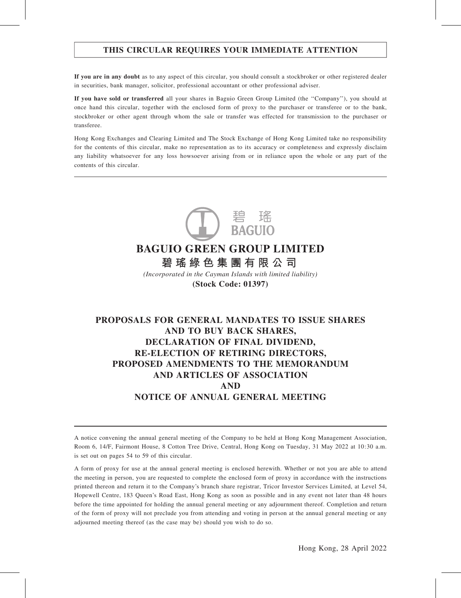# THIS CIRCULAR REQUIRES YOUR IMMEDIATE ATTENTION

If you are in any doubt as to any aspect of this circular, you should consult a stockbroker or other registered dealer in securities, bank manager, solicitor, professional accountant or other professional adviser.

If you have sold or transferred all your shares in Baguio Green Group Limited (the ''Company''), you should at once hand this circular, together with the enclosed form of proxy to the purchaser or transferee or to the bank, stockbroker or other agent through whom the sale or transfer was effected for transmission to the purchaser or transferee.

Hong Kong Exchanges and Clearing Limited and The Stock Exchange of Hong Kong Limited take no responsibility for the contents of this circular, make no representation as to its accuracy or completeness and expressly disclaim any liability whatsoever for any loss howsoever arising from or in reliance upon the whole or any part of the contents of this circular.



# **BAGUIO GREEN GROUP LIMITED 碧瑤綠色集團有限公司**

*(Incorporated in the Cayman Islands with limited liability)* **(Stock Code: 01397)**

# PROPOSALS FOR GENERAL MANDATES TO ISSUE SHARES AND TO BUY BACK SHARES, DECLARATION OF FINAL DIVIDEND, RE-ELECTION OF RETIRING DIRECTORS, PROPOSED AMENDMENTS TO THE MEMORANDUM AND ARTICLES OF ASSOCIATION AND NOTICE OF ANNUAL GENERAL MEETING

A notice convening the annual general meeting of the Company to be held at Hong Kong Management Association, Room 6, 14/F, Fairmont House, 8 Cotton Tree Drive, Central, Hong Kong on Tuesday, 31 May 2022 at 10:30 a.m. is set out on pages 54 to 59 of this circular.

A form of proxy for use at the annual general meeting is enclosed herewith. Whether or not you are able to attend the meeting in person, you are requested to complete the enclosed form of proxy in accordance with the instructions printed thereon and return it to the Company's branch share registrar, Tricor Investor Services Limited, at Level 54, Hopewell Centre, 183 Queen's Road East, Hong Kong as soon as possible and in any event not later than 48 hours before the time appointed for holding the annual general meeting or any adjournment thereof. Completion and return of the form of proxy will not preclude you from attending and voting in person at the annual general meeting or any adjourned meeting thereof (as the case may be) should you wish to do so.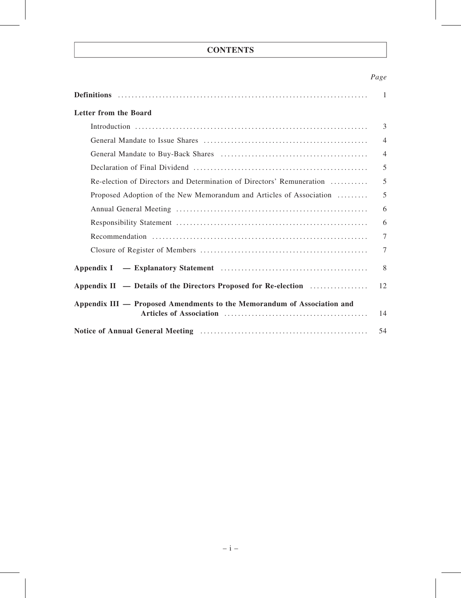# **CONTENTS**

# Page

|                                                                         | $\overline{1}$ |
|-------------------------------------------------------------------------|----------------|
| Letter from the Board                                                   |                |
|                                                                         | $\overline{3}$ |
|                                                                         | $\overline{4}$ |
|                                                                         | $\overline{4}$ |
|                                                                         | 5              |
| Re-election of Directors and Determination of Directors' Remuneration   | 5              |
| Proposed Adoption of the New Memorandum and Articles of Association     | 5              |
|                                                                         | 6              |
|                                                                         | 6              |
|                                                                         | $\overline{7}$ |
|                                                                         | 7              |
|                                                                         | 8              |
| Appendix II — Details of the Directors Proposed for Re-election         | 12             |
| Appendix III — Proposed Amendments to the Memorandum of Association and | 14             |
|                                                                         | 54             |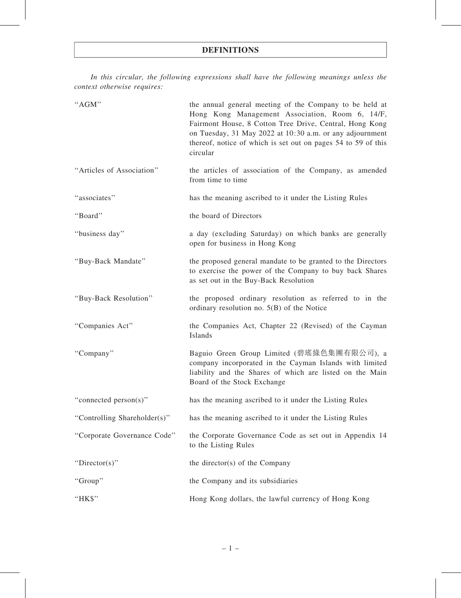In this circular, the following expressions shall have the following meanings unless the context otherwise requires:

| "AGM"                        | the annual general meeting of the Company to be held at<br>Hong Kong Management Association, Room 6, 14/F,<br>Fairmont House, 8 Cotton Tree Drive, Central, Hong Kong<br>on Tuesday, 31 May 2022 at 10:30 a.m. or any adjournment<br>thereof, notice of which is set out on pages 54 to 59 of this<br>circular |
|------------------------------|----------------------------------------------------------------------------------------------------------------------------------------------------------------------------------------------------------------------------------------------------------------------------------------------------------------|
| "Articles of Association"    | the articles of association of the Company, as amended<br>from time to time                                                                                                                                                                                                                                    |
| "associates"                 | has the meaning ascribed to it under the Listing Rules                                                                                                                                                                                                                                                         |
| "Board"                      | the board of Directors                                                                                                                                                                                                                                                                                         |
| "business day"               | a day (excluding Saturday) on which banks are generally<br>open for business in Hong Kong                                                                                                                                                                                                                      |
| "Buy-Back Mandate"           | the proposed general mandate to be granted to the Directors<br>to exercise the power of the Company to buy back Shares<br>as set out in the Buy-Back Resolution                                                                                                                                                |
| "Buy-Back Resolution"        | the proposed ordinary resolution as referred to in the<br>ordinary resolution no. $5(B)$ of the Notice                                                                                                                                                                                                         |
| "Companies Act"              | the Companies Act, Chapter 22 (Revised) of the Cayman<br>Islands                                                                                                                                                                                                                                               |
| "Company"                    | Baguio Green Group Limited (碧瑤綠色集團有限公司), a<br>company incorporated in the Cayman Islands with limited<br>liability and the Shares of which are listed on the Main<br>Board of the Stock Exchange                                                                                                               |
| "connected person(s)"        | has the meaning ascribed to it under the Listing Rules                                                                                                                                                                                                                                                         |
| "Controlling Shareholder(s)" | has the meaning ascribed to it under the Listing Rules                                                                                                                                                                                                                                                         |
| "Corporate Governance Code"  | the Corporate Governance Code as set out in Appendix 14<br>to the Listing Rules                                                                                                                                                                                                                                |
| "Director(s)"                | the director(s) of the Company                                                                                                                                                                                                                                                                                 |
| "Group"                      | the Company and its subsidiaries                                                                                                                                                                                                                                                                               |
| "HK\$"                       | Hong Kong dollars, the lawful currency of Hong Kong                                                                                                                                                                                                                                                            |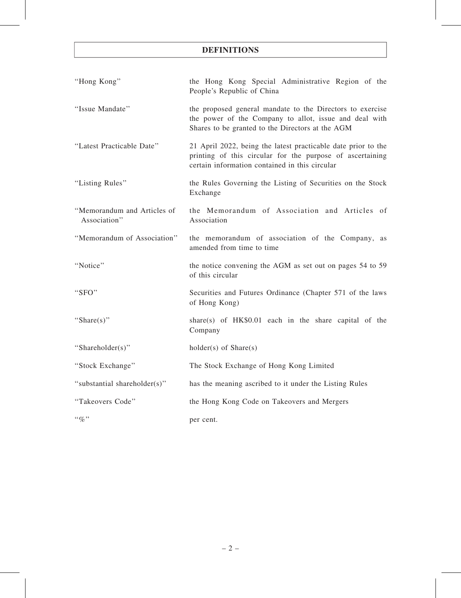# DEFINITIONS

| "Hong Kong"                                 | the Hong Kong Special Administrative Region of the<br>People's Republic of China                                                                                             |
|---------------------------------------------|------------------------------------------------------------------------------------------------------------------------------------------------------------------------------|
| "Issue Mandate"                             | the proposed general mandate to the Directors to exercise<br>the power of the Company to allot, issue and deal with<br>Shares to be granted to the Directors at the AGM      |
| "Latest Practicable Date"                   | 21 April 2022, being the latest practicable date prior to the<br>printing of this circular for the purpose of ascertaining<br>certain information contained in this circular |
| "Listing Rules"                             | the Rules Governing the Listing of Securities on the Stock<br>Exchange                                                                                                       |
| "Memorandum and Articles of<br>Association" | the Memorandum of Association and Articles of<br>Association                                                                                                                 |
| "Memorandum of Association"                 | the memorandum of association of the Company, as<br>amended from time to time                                                                                                |
| "Notice"                                    | the notice convening the AGM as set out on pages 54 to 59<br>of this circular                                                                                                |
| "SFO"                                       | Securities and Futures Ordinance (Chapter 571 of the laws<br>of Hong Kong)                                                                                                   |
| "Share(s)"                                  | share(s) of $HK$0.01$ each in the share capital of the<br>Company                                                                                                            |
| "Shareholder(s)"                            | $holder(s)$ of $Share(s)$                                                                                                                                                    |
| "Stock Exchange"                            | The Stock Exchange of Hong Kong Limited                                                                                                                                      |
| "substantial shareholder(s)"                | has the meaning ascribed to it under the Listing Rules                                                                                                                       |
| "Takeovers Code"                            | the Hong Kong Code on Takeovers and Mergers                                                                                                                                  |
| $``\%"$                                     | per cent.                                                                                                                                                                    |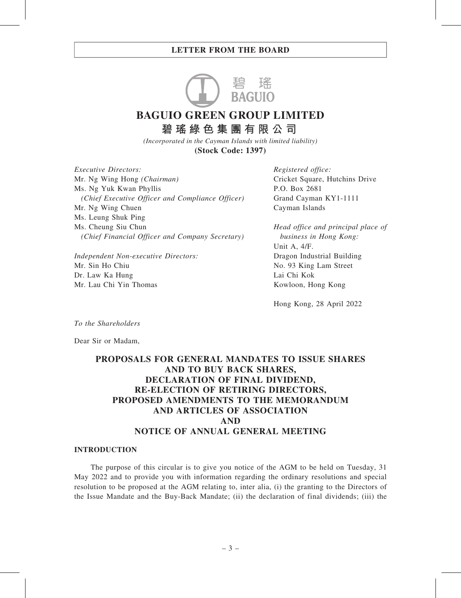

**BAGUIO GREEN GROUP LIMITED 碧瑤綠色集團有限公司**

*(Incorporated in the Cayman Islands with limited liability)*

**(Stock Code: 1397)**

Executive Directors: Mr. Ng Wing Hong (Chairman) Ms. Ng Yuk Kwan Phyllis (Chief Executive Officer and Compliance Officer) Mr. Ng Wing Chuen Ms. Leung Shuk Ping Ms. Cheung Siu Chun (Chief Financial Officer and Company Secretary)

Independent Non-executive Directors: Mr. Sin Ho Chiu Dr. Law Ka Hung Mr. Lau Chi Yin Thomas

Registered office: Cricket Square, Hutchins Drive P.O. Box 2681 Grand Cayman KY1-1111 Cayman Islands

Head office and principal place of business in Hong Kong: Unit A, 4/F. Dragon Industrial Building No. 93 King Lam Street Lai Chi Kok Kowloon, Hong Kong

Hong Kong, 28 April 2022

To the Shareholders

Dear Sir or Madam,

# PROPOSALS FOR GENERAL MANDATES TO ISSUE SHARES AND TO BUY BACK SHARES, DECLARATION OF FINAL DIVIDEND, RE-ELECTION OF RETIRING DIRECTORS, PROPOSED AMENDMENTS TO THE MEMORANDUM AND ARTICLES OF ASSOCIATION AND NOTICE OF ANNUAL GENERAL MEETING

#### INTRODUCTION

The purpose of this circular is to give you notice of the AGM to be held on Tuesday, 31 May 2022 and to provide you with information regarding the ordinary resolutions and special resolution to be proposed at the AGM relating to, inter alia, (i) the granting to the Directors of the Issue Mandate and the Buy-Back Mandate; (ii) the declaration of final dividends; (iii) the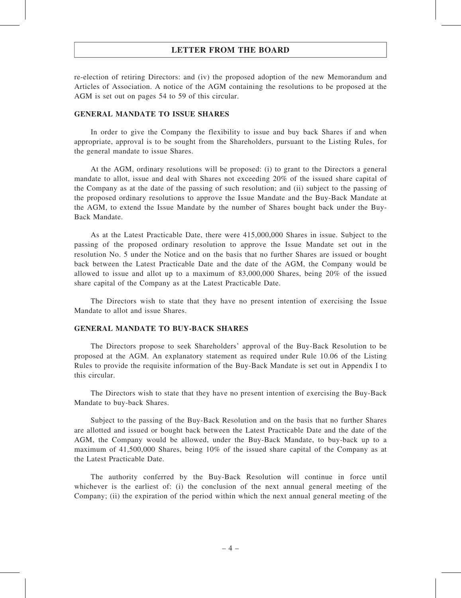re-election of retiring Directors: and (iv) the proposed adoption of the new Memorandum and Articles of Association. A notice of the AGM containing the resolutions to be proposed at the AGM is set out on pages 54 to 59 of this circular.

#### GENERAL MANDATE TO ISSUE SHARES

In order to give the Company the flexibility to issue and buy back Shares if and when appropriate, approval is to be sought from the Shareholders, pursuant to the Listing Rules, for the general mandate to issue Shares.

At the AGM, ordinary resolutions will be proposed: (i) to grant to the Directors a general mandate to allot, issue and deal with Shares not exceeding 20% of the issued share capital of the Company as at the date of the passing of such resolution; and (ii) subject to the passing of the proposed ordinary resolutions to approve the Issue Mandate and the Buy-Back Mandate at the AGM, to extend the Issue Mandate by the number of Shares bought back under the Buy-Back Mandate.

As at the Latest Practicable Date, there were 415,000,000 Shares in issue. Subject to the passing of the proposed ordinary resolution to approve the Issue Mandate set out in the resolution No. 5 under the Notice and on the basis that no further Shares are issued or bought back between the Latest Practicable Date and the date of the AGM, the Company would be allowed to issue and allot up to a maximum of 83,000,000 Shares, being 20% of the issued share capital of the Company as at the Latest Practicable Date.

The Directors wish to state that they have no present intention of exercising the Issue Mandate to allot and issue Shares.

## GENERAL MANDATE TO BUY-BACK SHARES

The Directors propose to seek Shareholders' approval of the Buy-Back Resolution to be proposed at the AGM. An explanatory statement as required under Rule 10.06 of the Listing Rules to provide the requisite information of the Buy-Back Mandate is set out in Appendix I to this circular.

The Directors wish to state that they have no present intention of exercising the Buy-Back Mandate to buy-back Shares.

Subject to the passing of the Buy-Back Resolution and on the basis that no further Shares are allotted and issued or bought back between the Latest Practicable Date and the date of the AGM, the Company would be allowed, under the Buy-Back Mandate, to buy-back up to a maximum of 41,500,000 Shares, being 10% of the issued share capital of the Company as at the Latest Practicable Date.

The authority conferred by the Buy-Back Resolution will continue in force until whichever is the earliest of: (i) the conclusion of the next annual general meeting of the Company; (ii) the expiration of the period within which the next annual general meeting of the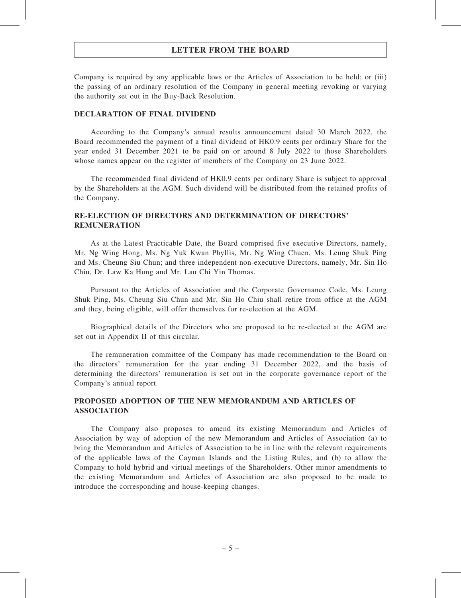Company is required by any applicable laws or the Articles of Association to be held; or (iii) the passing of an ordinary resolution of the Company in general meeting revoking or varying the authority set out in the Buy-Back Resolution.

#### DECLARATION OF FINAL DIVIDEND

According to the Company's annual results announcement dated 30 March 2022, the Board recommended the payment of a final dividend of HK0.9 cents per ordinary Share for the year ended 31 December 2021 to be paid on or around 8 July 2022 to those Shareholders whose names appear on the register of members of the Company on 23 June 2022.

The recommended final dividend of HK0.9 cents per ordinary Share is subject to approval by the Shareholders at the AGM. Such dividend will be distributed from the retained profits of the Company.

## RE-ELECTION OF DIRECTORS AND DETERMINATION OF DIRECTORS' REMUNERATION

As at the Latest Practicable Date, the Board comprised five executive Directors, namely, Mr. Ng Wing Hong, Ms. Ng Yuk Kwan Phyllis, Mr. Ng Wing Chuen, Ms. Leung Shuk Ping and Ms. Cheung Siu Chun; and three independent non-executive Directors, namely, Mr. Sin Ho Chiu, Dr. Law Ka Hung and Mr. Lau Chi Yin Thomas.

Pursuant to the Articles of Association and the Corporate Governance Code, Ms. Leung Shuk Ping, Ms. Cheung Siu Chun and Mr. Sin Ho Chiu shall retire from office at the AGM and they, being eligible, will offer themselves for re-election at the AGM.

Biographical details of the Directors who are proposed to be re-elected at the AGM are set out in Appendix II of this circular.

The remuneration committee of the Company has made recommendation to the Board on the directors' remuneration for the year ending 31 December 2022, and the basis of determining the directors' remuneration is set out in the corporate governance report of the Company's annual report.

# PROPOSED ADOPTION OF THE NEW MEMORANDUM AND ARTICLES OF ASSOCIATION

The Company also proposes to amend its existing Memorandum and Articles of Association by way of adoption of the new Memorandum and Articles of Association (a) to bring the Memorandum and Articles of Association to be in line with the relevant requirements of the applicable laws of the Cayman Islands and the Listing Rules; and (b) to allow the Company to hold hybrid and virtual meetings of the Shareholders. Other minor amendments to the existing Memorandum and Articles of Association are also proposed to be made to introduce the corresponding and house-keeping changes.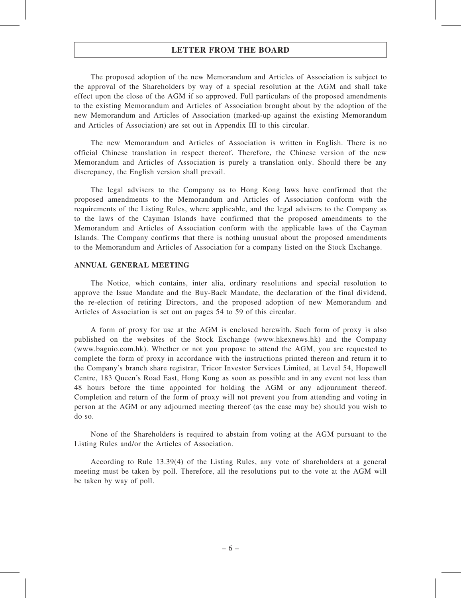The proposed adoption of the new Memorandum and Articles of Association is subject to the approval of the Shareholders by way of a special resolution at the AGM and shall take effect upon the close of the AGM if so approved. Full particulars of the proposed amendments to the existing Memorandum and Articles of Association brought about by the adoption of the new Memorandum and Articles of Association (marked-up against the existing Memorandum and Articles of Association) are set out in Appendix III to this circular.

The new Memorandum and Articles of Association is written in English. There is no official Chinese translation in respect thereof. Therefore, the Chinese version of the new Memorandum and Articles of Association is purely a translation only. Should there be any discrepancy, the English version shall prevail.

The legal advisers to the Company as to Hong Kong laws have confirmed that the proposed amendments to the Memorandum and Articles of Association conform with the requirements of the Listing Rules, where applicable, and the legal advisers to the Company as to the laws of the Cayman Islands have confirmed that the proposed amendments to the Memorandum and Articles of Association conform with the applicable laws of the Cayman Islands. The Company confirms that there is nothing unusual about the proposed amendments to the Memorandum and Articles of Association for a company listed on the Stock Exchange.

#### ANNUAL GENERAL MEETING

The Notice, which contains, inter alia, ordinary resolutions and special resolution to approve the Issue Mandate and the Buy-Back Mandate, the declaration of the final dividend, the re-election of retiring Directors, and the proposed adoption of new Memorandum and Articles of Association is set out on pages 54 to 59 of this circular.

A form of proxy for use at the AGM is enclosed herewith. Such form of proxy is also published on the websites of the Stock Exchange (www.hkexnews.hk) and the Company (www.baguio.com.hk). Whether or not you propose to attend the AGM, you are requested to complete the form of proxy in accordance with the instructions printed thereon and return it to the Company's branch share registrar, Tricor Investor Services Limited, at Level 54, Hopewell Centre, 183 Queen's Road East, Hong Kong as soon as possible and in any event not less than 48 hours before the time appointed for holding the AGM or any adjournment thereof. Completion and return of the form of proxy will not prevent you from attending and voting in person at the AGM or any adjourned meeting thereof (as the case may be) should you wish to do so.

None of the Shareholders is required to abstain from voting at the AGM pursuant to the Listing Rules and/or the Articles of Association.

According to Rule 13.39(4) of the Listing Rules, any vote of shareholders at a general meeting must be taken by poll. Therefore, all the resolutions put to the vote at the AGM will be taken by way of poll.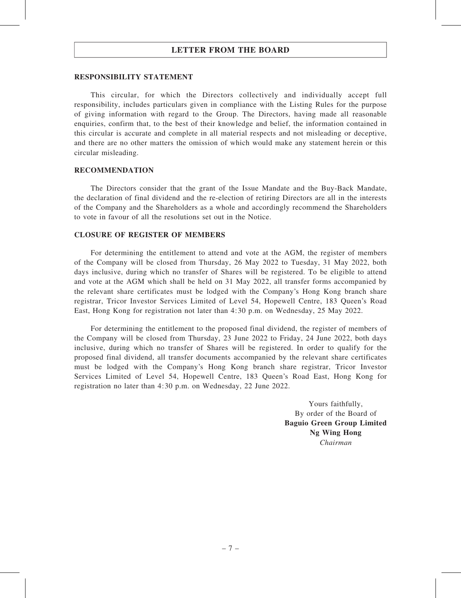#### RESPONSIBILITY STATEMENT

This circular, for which the Directors collectively and individually accept full responsibility, includes particulars given in compliance with the Listing Rules for the purpose of giving information with regard to the Group. The Directors, having made all reasonable enquiries, confirm that, to the best of their knowledge and belief, the information contained in this circular is accurate and complete in all material respects and not misleading or deceptive, and there are no other matters the omission of which would make any statement herein or this circular misleading.

#### RECOMMENDATION

The Directors consider that the grant of the Issue Mandate and the Buy-Back Mandate, the declaration of final dividend and the re-election of retiring Directors are all in the interests of the Company and the Shareholders as a whole and accordingly recommend the Shareholders to vote in favour of all the resolutions set out in the Notice.

#### CLOSURE OF REGISTER OF MEMBERS

For determining the entitlement to attend and vote at the AGM, the register of members of the Company will be closed from Thursday, 26 May 2022 to Tuesday, 31 May 2022, both days inclusive, during which no transfer of Shares will be registered. To be eligible to attend and vote at the AGM which shall be held on 31 May 2022, all transfer forms accompanied by the relevant share certificates must be lodged with the Company's Hong Kong branch share registrar, Tricor Investor Services Limited of Level 54, Hopewell Centre, 183 Queen's Road East, Hong Kong for registration not later than 4:30 p.m. on Wednesday, 25 May 2022.

For determining the entitlement to the proposed final dividend, the register of members of the Company will be closed from Thursday, 23 June 2022 to Friday, 24 June 2022, both days inclusive, during which no transfer of Shares will be registered. In order to qualify for the proposed final dividend, all transfer documents accompanied by the relevant share certificates must be lodged with the Company's Hong Kong branch share registrar, Tricor Investor Services Limited of Level 54, Hopewell Centre, 183 Queen's Road East, Hong Kong for registration no later than 4:30 p.m. on Wednesday, 22 June 2022.

> Yours faithfully, By order of the Board of Baguio Green Group Limited Ng Wing Hong Chairman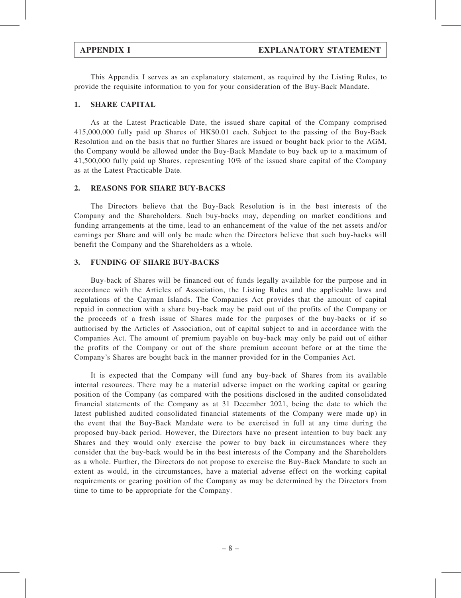This Appendix I serves as an explanatory statement, as required by the Listing Rules, to provide the requisite information to you for your consideration of the Buy-Back Mandate.

#### 1. SHARE CAPITAL

As at the Latest Practicable Date, the issued share capital of the Company comprised 415,000,000 fully paid up Shares of HK\$0.01 each. Subject to the passing of the Buy-Back Resolution and on the basis that no further Shares are issued or bought back prior to the AGM, the Company would be allowed under the Buy-Back Mandate to buy back up to a maximum of 41,500,000 fully paid up Shares, representing 10% of the issued share capital of the Company as at the Latest Practicable Date.

#### 2. REASONS FOR SHARE BUY-BACKS

The Directors believe that the Buy-Back Resolution is in the best interests of the Company and the Shareholders. Such buy-backs may, depending on market conditions and funding arrangements at the time, lead to an enhancement of the value of the net assets and/or earnings per Share and will only be made when the Directors believe that such buy-backs will benefit the Company and the Shareholders as a whole.

#### 3. FUNDING OF SHARE BUY-BACKS

Buy-back of Shares will be financed out of funds legally available for the purpose and in accordance with the Articles of Association, the Listing Rules and the applicable laws and regulations of the Cayman Islands. The Companies Act provides that the amount of capital repaid in connection with a share buy-back may be paid out of the profits of the Company or the proceeds of a fresh issue of Shares made for the purposes of the buy-backs or if so authorised by the Articles of Association, out of capital subject to and in accordance with the Companies Act. The amount of premium payable on buy-back may only be paid out of either the profits of the Company or out of the share premium account before or at the time the Company's Shares are bought back in the manner provided for in the Companies Act.

It is expected that the Company will fund any buy-back of Shares from its available internal resources. There may be a material adverse impact on the working capital or gearing position of the Company (as compared with the positions disclosed in the audited consolidated financial statements of the Company as at 31 December 2021, being the date to which the latest published audited consolidated financial statements of the Company were made up) in the event that the Buy-Back Mandate were to be exercised in full at any time during the proposed buy-back period. However, the Directors have no present intention to buy back any Shares and they would only exercise the power to buy back in circumstances where they consider that the buy-back would be in the best interests of the Company and the Shareholders as a whole. Further, the Directors do not propose to exercise the Buy-Back Mandate to such an extent as would, in the circumstances, have a material adverse effect on the working capital requirements or gearing position of the Company as may be determined by the Directors from time to time to be appropriate for the Company.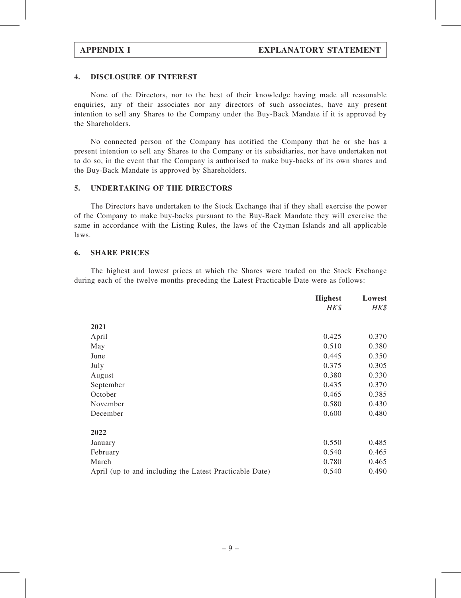#### 4. DISCLOSURE OF INTEREST

None of the Directors, nor to the best of their knowledge having made all reasonable enquiries, any of their associates nor any directors of such associates, have any present intention to sell any Shares to the Company under the Buy-Back Mandate if it is approved by the Shareholders.

No connected person of the Company has notified the Company that he or she has a present intention to sell any Shares to the Company or its subsidiaries, nor have undertaken not to do so, in the event that the Company is authorised to make buy-backs of its own shares and the Buy-Back Mandate is approved by Shareholders.

#### 5. UNDERTAKING OF THE DIRECTORS

The Directors have undertaken to the Stock Exchange that if they shall exercise the power of the Company to make buy-backs pursuant to the Buy-Back Mandate they will exercise the same in accordance with the Listing Rules, the laws of the Cayman Islands and all applicable laws.

#### 6. SHARE PRICES

The highest and lowest prices at which the Shares were traded on the Stock Exchange during each of the twelve months preceding the Latest Practicable Date were as follows:

|                                                         | <b>Highest</b> | Lowest |
|---------------------------------------------------------|----------------|--------|
|                                                         | HK\$           | HK\$   |
| 2021                                                    |                |        |
| April                                                   | 0.425          | 0.370  |
| May                                                     | 0.510          | 0.380  |
| June                                                    | 0.445          | 0.350  |
| July                                                    | 0.375          | 0.305  |
| August                                                  | 0.380          | 0.330  |
| September                                               | 0.435          | 0.370  |
| October                                                 | 0.465          | 0.385  |
| November                                                | 0.580          | 0.430  |
| December                                                | 0.600          | 0.480  |
| 2022                                                    |                |        |
| January                                                 | 0.550          | 0.485  |
| February                                                | 0.540          | 0.465  |
| March                                                   | 0.780          | 0.465  |
| April (up to and including the Latest Practicable Date) | 0.540          | 0.490  |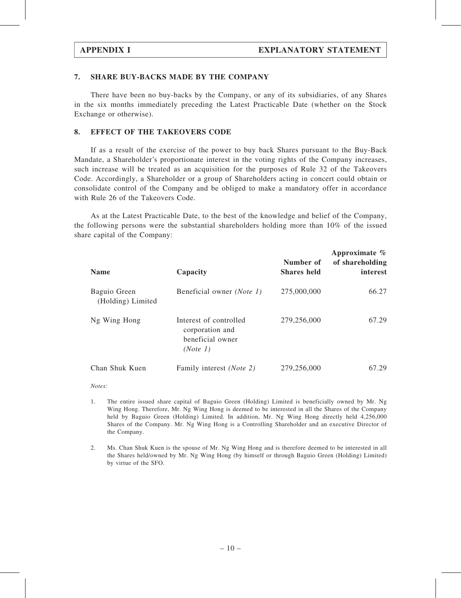#### 7. SHARE BUY-BACKS MADE BY THE COMPANY

There have been no buy-backs by the Company, or any of its subsidiaries, of any Shares in the six months immediately preceding the Latest Practicable Date (whether on the Stock Exchange or otherwise).

#### 8. EFFECT OF THE TAKEOVERS CODE

If as a result of the exercise of the power to buy back Shares pursuant to the Buy-Back Mandate, a Shareholder's proportionate interest in the voting rights of the Company increases, such increase will be treated as an acquisition for the purposes of Rule 32 of the Takeovers Code. Accordingly, a Shareholder or a group of Shareholders acting in concert could obtain or consolidate control of the Company and be obliged to make a mandatory offer in accordance with Rule 26 of the Takeovers Code.

As at the Latest Practicable Date, to the best of the knowledge and belief of the Company, the following persons were the substantial shareholders holding more than 10% of the issued share capital of the Company:

| <b>Name</b>                       | Capacity                                                                  | Number of<br><b>Shares</b> held | Approximate $\%$<br>of shareholding<br>interest |
|-----------------------------------|---------------------------------------------------------------------------|---------------------------------|-------------------------------------------------|
| Baguio Green<br>(Holding) Limited | Beneficial owner ( <i>Note 1</i> )                                        | 275,000,000                     | 66.27                                           |
| Ng Wing Hong                      | Interest of controlled<br>corporation and<br>beneficial owner<br>(Note 1) | 279,256,000                     | 67.29                                           |
| Chan Shuk Kuen                    | Family interest ( <i>Note 2</i> )                                         | 279,256,000                     | 67.29                                           |

Notes:

- 1. The entire issued share capital of Baguio Green (Holding) Limited is beneficially owned by Mr. Ng Wing Hong. Therefore, Mr. Ng Wing Hong is deemed to be interested in all the Shares of the Company held by Baguio Green (Holding) Limited. In addition, Mr. Ng Wing Hong directly held 4,256,000 Shares of the Company. Mr. Ng Wing Hong is a Controlling Shareholder and an executive Director of the Company.
- 2. Ms. Chan Shuk Kuen is the spouse of Mr. Ng Wing Hong and is therefore deemed to be interested in all the Shares held/owned by Mr. Ng Wing Hong (by himself or through Baguio Green (Holding) Limited) by virtue of the SFO.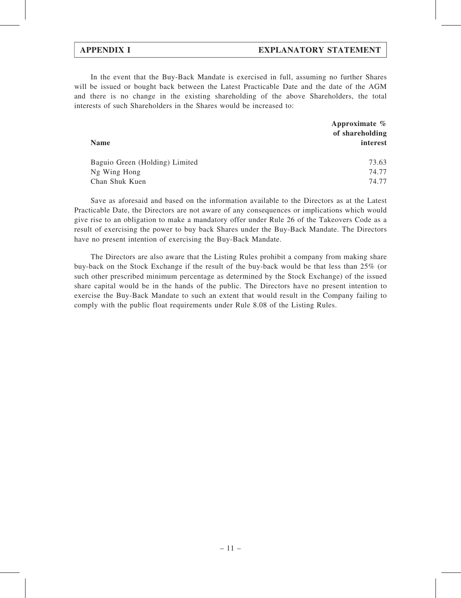# APPENDIX I EXPLANATORY STATEMENT

In the event that the Buy-Back Mandate is exercised in full, assuming no further Shares will be issued or bought back between the Latest Practicable Date and the date of the AGM and there is no change in the existing shareholding of the above Shareholders, the total interests of such Shareholders in the Shares would be increased to:

|                                | Approximate $%$<br>of shareholding |
|--------------------------------|------------------------------------|
| <b>Name</b>                    | interest                           |
| Baguio Green (Holding) Limited | 73.63                              |
| Ng Wing Hong                   | 74.77                              |
| Chan Shuk Kuen                 | 74.77                              |

Save as aforesaid and based on the information available to the Directors as at the Latest Practicable Date, the Directors are not aware of any consequences or implications which would give rise to an obligation to make a mandatory offer under Rule 26 of the Takeovers Code as a result of exercising the power to buy back Shares under the Buy-Back Mandate. The Directors have no present intention of exercising the Buy-Back Mandate.

The Directors are also aware that the Listing Rules prohibit a company from making share buy-back on the Stock Exchange if the result of the buy-back would be that less than 25% (or such other prescribed minimum percentage as determined by the Stock Exchange) of the issued share capital would be in the hands of the public. The Directors have no present intention to exercise the Buy-Back Mandate to such an extent that would result in the Company failing to comply with the public float requirements under Rule 8.08 of the Listing Rules.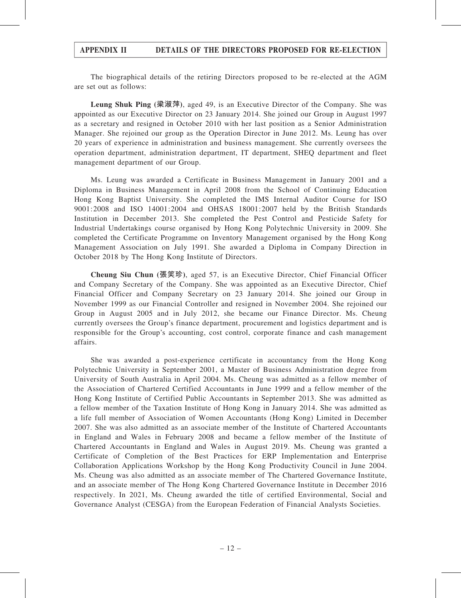# APPENDIX II DETAILS OF THE DIRECTORS PROPOSED FOR RE-ELECTION

The biographical details of the retiring Directors proposed to be re-elected at the AGM are set out as follows:

Leung Shuk Ping (梁淑萍), aged 49, is an Executive Director of the Company. She was appointed as our Executive Director on 23 January 2014. She joined our Group in August 1997 as a secretary and resigned in October 2010 with her last position as a Senior Administration Manager. She rejoined our group as the Operation Director in June 2012. Ms. Leung has over 20 years of experience in administration and business management. She currently oversees the operation department, administration department, IT department, SHEQ department and fleet management department of our Group.

Ms. Leung was awarded a Certificate in Business Management in January 2001 and a Diploma in Business Management in April 2008 from the School of Continuing Education Hong Kong Baptist University. She completed the IMS Internal Auditor Course for ISO 9001:2008 and ISO 14001:2004 and OHSAS 18001:2007 held by the British Standards Institution in December 2013. She completed the Pest Control and Pesticide Safety for Industrial Undertakings course organised by Hong Kong Polytechnic University in 2009. She completed the Certificate Programme on Inventory Management organised by the Hong Kong Management Association on July 1991. She awarded a Diploma in Company Direction in October 2018 by The Hong Kong Institute of Directors.

Cheung Siu Chun (張笑珍), aged 57, is an Executive Director, Chief Financial Officer and Company Secretary of the Company. She was appointed as an Executive Director, Chief Financial Officer and Company Secretary on 23 January 2014. She joined our Group in November 1999 as our Financial Controller and resigned in November 2004. She rejoined our Group in August 2005 and in July 2012, she became our Finance Director. Ms. Cheung currently oversees the Group's finance department, procurement and logistics department and is responsible for the Group's accounting, cost control, corporate finance and cash management affairs.

She was awarded a post-experience certificate in accountancy from the Hong Kong Polytechnic University in September 2001, a Master of Business Administration degree from University of South Australia in April 2004. Ms. Cheung was admitted as a fellow member of the Association of Chartered Certified Accountants in June 1999 and a fellow member of the Hong Kong Institute of Certified Public Accountants in September 2013. She was admitted as a fellow member of the Taxation Institute of Hong Kong in January 2014. She was admitted as a life full member of Association of Women Accountants (Hong Kong) Limited in December 2007. She was also admitted as an associate member of the Institute of Chartered Accountants in England and Wales in February 2008 and became a fellow member of the Institute of Chartered Accountants in England and Wales in August 2019. Ms. Cheung was granted a Certificate of Completion of the Best Practices for ERP Implementation and Enterprise Collaboration Applications Workshop by the Hong Kong Productivity Council in June 2004. Ms. Cheung was also admitted as an associate member of The Chartered Governance Institute, and an associate member of The Hong Kong Chartered Governance Institute in December 2016 respectively. In 2021, Ms. Cheung awarded the title of certified Environmental, Social and Governance Analyst (CESGA) from the European Federation of Financial Analysts Societies.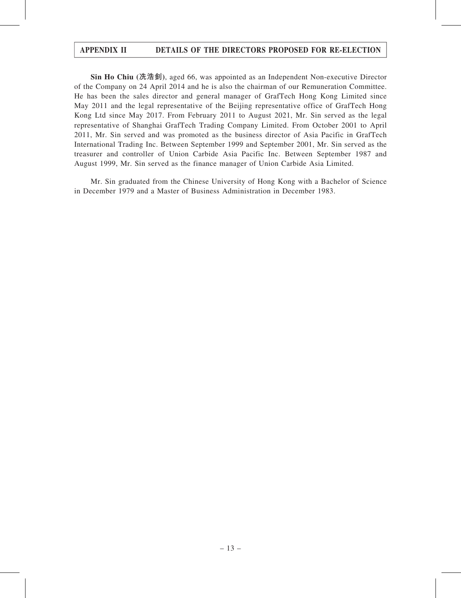# APPENDIX II DETAILS OF THE DIRECTORS PROPOSED FOR RE-ELECTION

Sin Ho Chiu (冼浩釗), aged 66, was appointed as an Independent Non-executive Director of the Company on 24 April 2014 and he is also the chairman of our Remuneration Committee. He has been the sales director and general manager of GrafTech Hong Kong Limited since May 2011 and the legal representative of the Beijing representative office of GrafTech Hong Kong Ltd since May 2017. From February 2011 to August 2021, Mr. Sin served as the legal representative of Shanghai GrafTech Trading Company Limited. From October 2001 to April 2011, Mr. Sin served and was promoted as the business director of Asia Pacific in GrafTech International Trading Inc. Between September 1999 and September 2001, Mr. Sin served as the treasurer and controller of Union Carbide Asia Pacific Inc. Between September 1987 and August 1999, Mr. Sin served as the finance manager of Union Carbide Asia Limited.

Mr. Sin graduated from the Chinese University of Hong Kong with a Bachelor of Science in December 1979 and a Master of Business Administration in December 1983.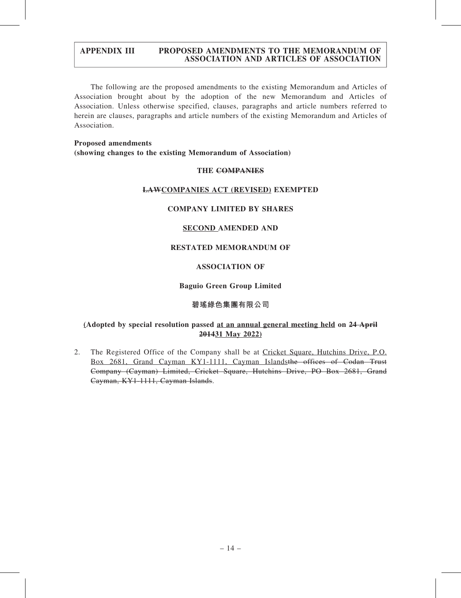The following are the proposed amendments to the existing Memorandum and Articles of Association brought about by the adoption of the new Memorandum and Articles of Association. Unless otherwise specified, clauses, paragraphs and article numbers referred to herein are clauses, paragraphs and article numbers of the existing Memorandum and Articles of Association.

### Proposed amendments (showing changes to the existing Memorandum of Association)

### THE COMPANIES

### LAWCOMPANIES ACT (REVISED) EXEMPTED

### COMPANY LIMITED BY SHARES

#### SECOND AMENDED AND

# RESTATED MEMORANDUM OF

### ASSOCIATION OF

#### Baguio Green Group Limited

# 碧瑤綠色集團有限公司

### (Adopted by special resolution passed at an annual general meeting held on 24 April 201431 May 2022)

2. The Registered Office of the Company shall be at Cricket Square, Hutchins Drive, P.O. Box 2681, Grand Cayman KY1-1111, Cayman Islandsthe offices of Codan Trust Company (Cayman) Limited, Cricket Square, Hutchins Drive, PO Box 2681, Grand Cayman, KY1-1111, Cayman Islands.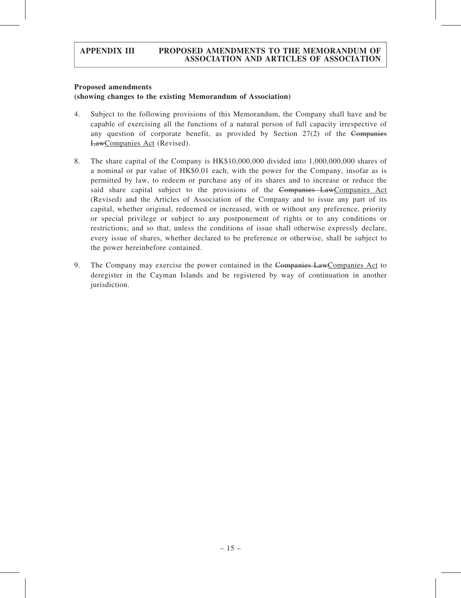#### Proposed amendments

### (showing changes to the existing Memorandum of Association)

- 4. Subject to the following provisions of this Memorandum, the Company shall have and be capable of exercising all the functions of a natural person of full capacity irrespective of any question of corporate benefit, as provided by Section  $27(2)$  of the Companies LawCompanies Act (Revised).
- 8. The share capital of the Company is HK\$10,000,000 divided into 1,000,000,000 shares of a nominal or par value of HK\$0.01 each, with the power for the Company, insofar as is permitted by law, to redeem or purchase any of its shares and to increase or reduce the said share capital subject to the provisions of the Companies LawCompanies Act (Revised) and the Articles of Association of the Company and to issue any part of its capital, whether original, redeemed or increased, with or without any preference, priority or special privilege or subject to any postponement of rights or to any conditions or restrictions; and so that, unless the conditions of issue shall otherwise expressly declare, every issue of shares, whether declared to be preference or otherwise, shall be subject to the power hereinbefore contained.
- 9. The Company may exercise the power contained in the Companies LawCompanies Act to deregister in the Cayman Islands and be registered by way of continuation in another jurisdiction.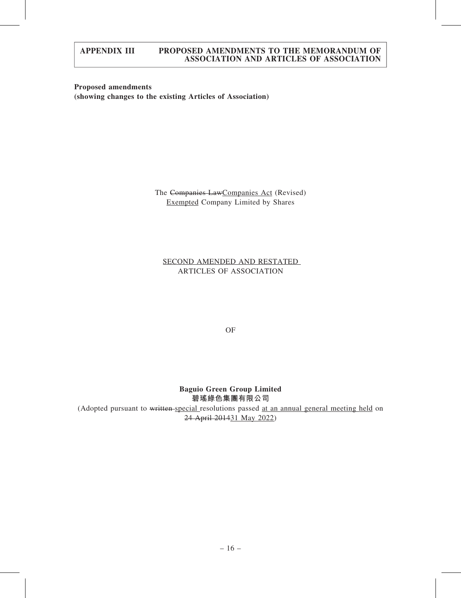Proposed amendments (showing changes to the existing Articles of Association)

> The Companies LawCompanies Act (Revised) Exempted Company Limited by Shares

SECOND AMENDED AND RESTATED ARTICLES OF ASSOCIATION

OF

Baguio Green Group Limited 碧瑤綠色集團有限公司 (Adopted pursuant to written special resolutions passed at an annual general meeting held on 24 April 201431 May 2022)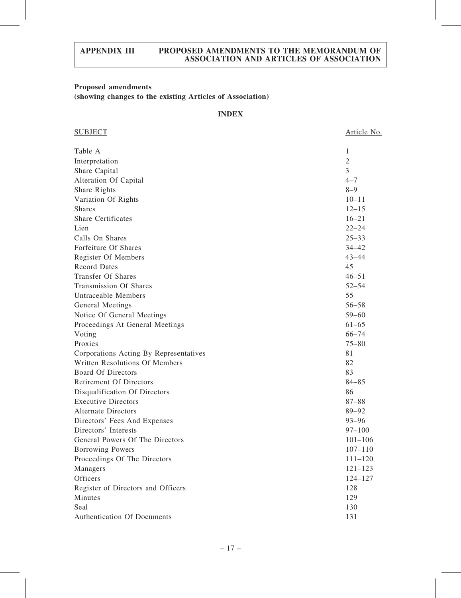# Proposed amendments

(showing changes to the existing Articles of Association)

# INDEX

| <b>SUBJECT</b>                         | Article No. |
|----------------------------------------|-------------|
| Table A                                | 1           |
| Interpretation                         | $\sqrt{2}$  |
| Share Capital                          | 3           |
| Alteration Of Capital                  | $4 - 7$     |
| Share Rights                           | $8 - 9$     |
| Variation Of Rights                    | $10 - 11$   |
| <b>Shares</b>                          | $12 - 15$   |
| <b>Share Certificates</b>              | $16 - 21$   |
| Lien                                   | $22 - 24$   |
| Calls On Shares                        | $25 - 33$   |
| Forfeiture Of Shares                   | $34 - 42$   |
| Register Of Members                    | $43 - 44$   |
| <b>Record Dates</b>                    | 45          |
| <b>Transfer Of Shares</b>              | $46 - 51$   |
| <b>Transmission Of Shares</b>          | $52 - 54$   |
| <b>Untraceable Members</b>             | 55          |
| General Meetings                       | $56 - 58$   |
| Notice Of General Meetings             | $59 - 60$   |
| Proceedings At General Meetings        | $61 - 65$   |
| Voting                                 | $66 - 74$   |
| Proxies                                | $75 - 80$   |
| Corporations Acting By Representatives | 81          |
| Written Resolutions Of Members         | 82          |
| <b>Board Of Directors</b>              | 83          |
| <b>Retirement Of Directors</b>         | $84 - 85$   |
| Disqualification Of Directors          | 86          |
| <b>Executive Directors</b>             | $87 - 88$   |
| <b>Alternate Directors</b>             | 89-92       |
| Directors' Fees And Expenses           | $93 - 96$   |
| Directors' Interests                   | $97 - 100$  |
| General Powers Of The Directors        | $101 - 106$ |
| <b>Borrowing Powers</b>                | $107 - 110$ |
| Proceedings Of The Directors           | $111 - 120$ |
| Managers                               | $121 - 123$ |
| Officers                               | 124-127     |
| Register of Directors and Officers     | 128         |
| Minutes                                | 129         |
| Seal                                   | 130         |
| Authentication Of Documents            | 131         |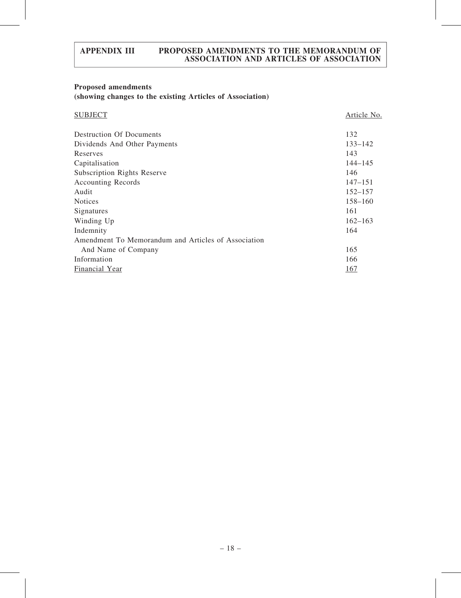# Proposed amendments (showing changes to the existing Articles of Association)

| <b>SUBJECT</b>                                      | Article No. |
|-----------------------------------------------------|-------------|
| <b>Destruction Of Documents</b>                     | 132         |
| Dividends And Other Payments                        | $133 - 142$ |
| Reserves                                            | 143         |
| Capitalisation                                      | $144 - 145$ |
| <b>Subscription Rights Reserve</b>                  | 146         |
| <b>Accounting Records</b>                           | $147 - 151$ |
| Audit                                               | $152 - 157$ |
| <b>Notices</b>                                      | $158 - 160$ |
| Signatures                                          | 161         |
| Winding Up                                          | $162 - 163$ |
| Indemnity                                           | 164         |
| Amendment To Memorandum and Articles of Association |             |
| And Name of Company                                 | 165         |
| Information                                         | 166         |
| <b>Financial Year</b>                               | 167         |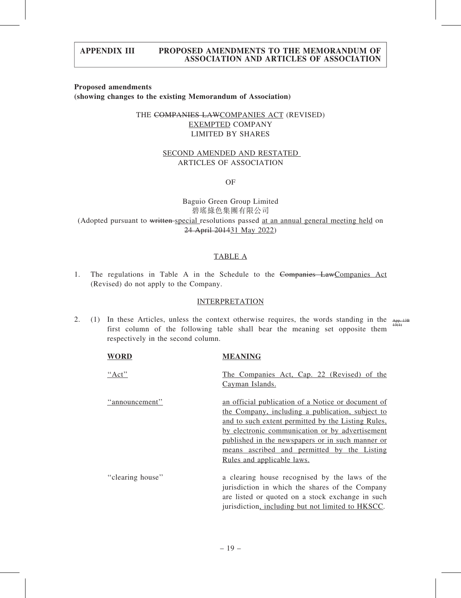#### Proposed amendments (showing changes to the existing Memorandum of Association)

# THE COMPANIES LAWCOMPANIES ACT (REVISED) EXEMPTED COMPANY LIMITED BY SHARES

### SECOND AMENDED AND RESTATED ARTICLES OF ASSOCIATION

OF

Baguio Green Group Limited 碧瑤綠色集團有限公司 (Adopted pursuant to written special resolutions passed at an annual general meeting held on 24 April 201431 May 2022)

# TABLE A

1. The regulations in Table A in the Schedule to the Companies LawCompanies Act (Revised) do not apply to the Company.

#### INTERPRETATION

2. (1) In these Articles, unless the context otherwise requires, the words standing in the  $\frac{APP}{13(H)}$ first column of the following table shall bear the meaning set opposite them respectively in the second column.

| <b>WORD</b>      | <b>MEANING</b>                                                                                                                                                                                                                                                                                                                                   |
|------------------|--------------------------------------------------------------------------------------------------------------------------------------------------------------------------------------------------------------------------------------------------------------------------------------------------------------------------------------------------|
| " $Act"$         | The Companies Act, Cap. 22 (Revised) of the<br>Cayman Islands.                                                                                                                                                                                                                                                                                   |
| "announcement"   | an official publication of a Notice or document of<br>the Company, including a publication, subject to<br>and to such extent permitted by the Listing Rules,<br>by electronic communication or by advertisement<br>published in the newspapers or in such manner or<br>means ascribed and permitted by the Listing<br>Rules and applicable laws. |
| "clearing house" | a clearing house recognised by the laws of the<br>jurisdiction in which the shares of the Company<br>are listed or quoted on a stock exchange in such<br>jurisdiction, including but not limited to HKSCC.                                                                                                                                       |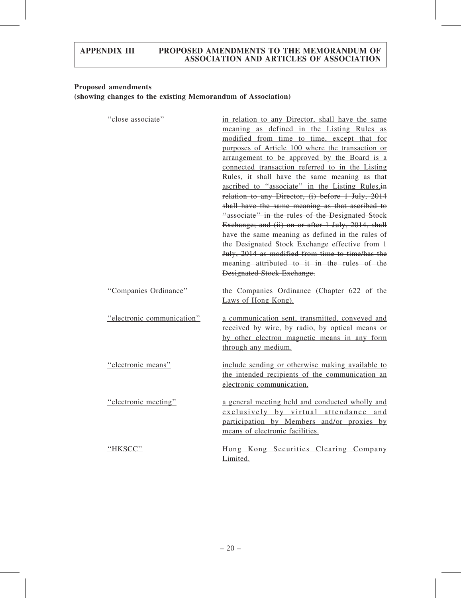# Proposed amendments (showing changes to the existing Memorandum of Association)

| "close associate"          | in relation to any Director, shall have the same<br>meaning as defined in the Listing Rules as<br>modified from time to time, except that for<br>purposes of Article 100 where the transaction or<br>arrangement to be approved by the Board is a<br>connected transaction referred to in the Listing<br>Rules, it shall have the same meaning as that<br>ascribed to "associate" in the Listing Rules.in<br>relation to any Director, (i) before 1 July, 2014<br>shall have the same meaning as that ascribed to<br>"associate" in the rules of the Designated Stock<br>Exchange; and (ii) on or after 1 July, 2014, shall<br>have the same meaning as defined in the rules of<br>the Designated Stock Exchange effective from 1<br>July, 2014 as modified from time to time/has the<br>meaning attributed to it in the rules of the<br><b>Designated Stock Exchange.</b> |
|----------------------------|----------------------------------------------------------------------------------------------------------------------------------------------------------------------------------------------------------------------------------------------------------------------------------------------------------------------------------------------------------------------------------------------------------------------------------------------------------------------------------------------------------------------------------------------------------------------------------------------------------------------------------------------------------------------------------------------------------------------------------------------------------------------------------------------------------------------------------------------------------------------------|
| "Companies Ordinance"      | the Companies Ordinance (Chapter 622 of the<br>Laws of Hong Kong).                                                                                                                                                                                                                                                                                                                                                                                                                                                                                                                                                                                                                                                                                                                                                                                                         |
| "electronic communication" | a communication sent, transmitted, conveyed and<br>received by wire, by radio, by optical means or<br>by other electron magnetic means in any form<br>through any medium.                                                                                                                                                                                                                                                                                                                                                                                                                                                                                                                                                                                                                                                                                                  |
| "electronic means"         | include sending or otherwise making available to<br>the intended recipients of the communication an<br>electronic communication.                                                                                                                                                                                                                                                                                                                                                                                                                                                                                                                                                                                                                                                                                                                                           |
| "electronic meeting"       | a general meeting held and conducted wholly and<br>exclusively by virtual attendance and<br>participation by Members and/or proxies by<br>means of electronic facilities.                                                                                                                                                                                                                                                                                                                                                                                                                                                                                                                                                                                                                                                                                                  |
| "HKSCC"                    | Hong Kong Securities Clearing Company<br>Limited.                                                                                                                                                                                                                                                                                                                                                                                                                                                                                                                                                                                                                                                                                                                                                                                                                          |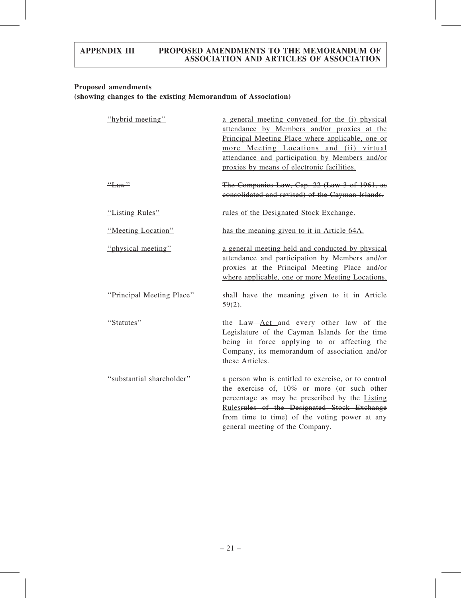# Proposed amendments

|  |  |  |  | (showing changes to the existing Memorandum of Association) |
|--|--|--|--|-------------------------------------------------------------|
|--|--|--|--|-------------------------------------------------------------|

| "hybrid meeting"          | a general meeting convened for the (i) physical<br>attendance by Members and/or proxies at the<br>Principal Meeting Place where applicable, one or<br>more Meeting Locations and (ii) virtual<br>attendance and participation by Members and/or<br>proxies by means of electronic facilities. |
|---------------------------|-----------------------------------------------------------------------------------------------------------------------------------------------------------------------------------------------------------------------------------------------------------------------------------------------|
| "Law"                     | The Companies Law, Cap. 22 (Law 3 of 1961, as<br>consolidated and revised) of the Cayman Islands.                                                                                                                                                                                             |
| "Listing Rules"           | rules of the Designated Stock Exchange.                                                                                                                                                                                                                                                       |
| "Meeting Location"        | has the meaning given to it in Article 64A.                                                                                                                                                                                                                                                   |
| "physical meeting"        | a general meeting held and conducted by physical<br>attendance and participation by Members and/or<br>proxies at the Principal Meeting Place and/or<br>where applicable, one or more Meeting Locations.                                                                                       |
| "Principal Meeting Place" | shall have the meaning given to it in Article<br>$59(2)$ .                                                                                                                                                                                                                                    |
| "Statutes"                | the Law Act and every other law of the<br>Legislature of the Cayman Islands for the time<br>being in force applying to or affecting the<br>Company, its memorandum of association and/or<br>these Articles.                                                                                   |
| "substantial shareholder" | a person who is entitled to exercise, or to control<br>the exercise of, 10% or more (or such other<br>percentage as may be prescribed by the Listing<br>Rulesrules of the Designated Stock Exchange<br>from time to time) of the voting power at any<br>general meeting of the Company.       |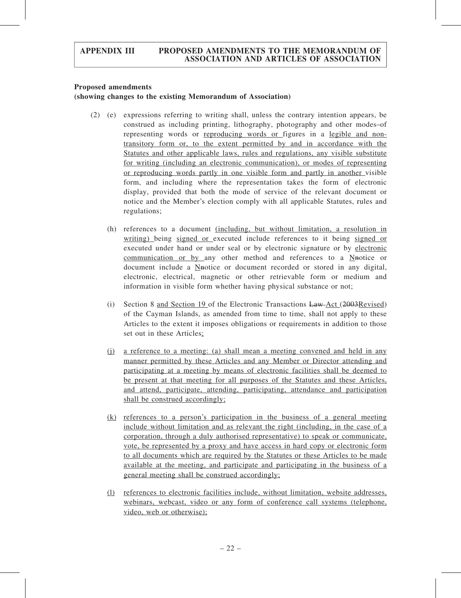#### Proposed amendments

### (showing changes to the existing Memorandum of Association)

- (2) (e) expressions referring to writing shall, unless the contrary intention appears, be construed as including printing, lithography, photography and other modes of representing words or reproducing words or figures in a legible and nontransitory form or, to the extent permitted by and in accordance with the Statutes and other applicable laws, rules and regulations, any visible substitute for writing (including an electronic communication), or modes of representing or reproducing words partly in one visible form and partly in another visible form, and including where the representation takes the form of electronic display, provided that both the mode of service of the relevant document or notice and the Member's election comply with all applicable Statutes, rules and regulations;
	- (h) references to a document (including, but without limitation, a resolution in writing) being signed or executed include references to it being signed or executed under hand or under seal or by electronic signature or by electronic communication or by any other method and references to a Nnotice or document include a Nnotice or document recorded or stored in any digital, electronic, electrical, magnetic or other retrievable form or medium and information in visible form whether having physical substance or not;
	- (i) Section 8 and Section 19 of the Electronic Transactions  $\frac{\text{Law-Act}}{\text{Law-Act}}$  (2003Revised) of the Cayman Islands, as amended from time to time, shall not apply to these Articles to the extent it imposes obligations or requirements in addition to those set out in these Articles;
	- (j) a reference to a meeting: (a) shall mean a meeting convened and held in any manner permitted by these Articles and any Member or Director attending and participating at a meeting by means of electronic facilities shall be deemed to be present at that meeting for all purposes of the Statutes and these Articles, and attend, participate, attending, participating, attendance and participation shall be construed accordingly;
	- (k) references to a person's participation in the business of a general meeting include without limitation and as relevant the right (including, in the case of a corporation, through a duly authorised representative) to speak or communicate, vote, be represented by a proxy and have access in hard copy or electronic form to all documents which are required by the Statutes or these Articles to be made available at the meeting, and participate and participating in the business of a general meeting shall be construed accordingly;
	- (l) references to electronic facilities include, without limitation, website addresses, webinars, webcast, video or any form of conference call systems (telephone, video, web or otherwise);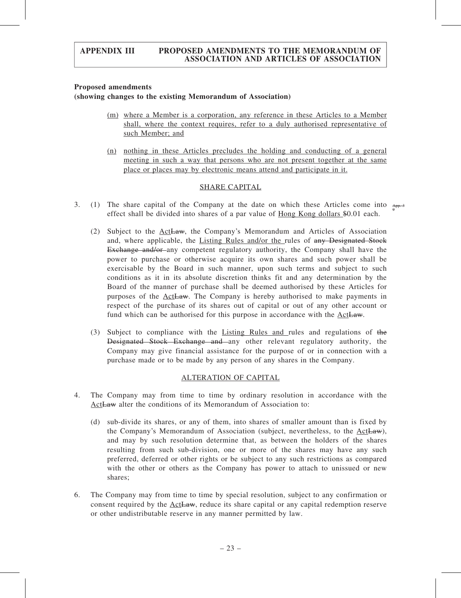#### Proposed amendments

#### (showing changes to the existing Memorandum of Association)

- (m) where a Member is a corporation, any reference in these Articles to a Member shall, where the context requires, refer to a duly authorised representative of such Member; and
- (n) nothing in these Articles precludes the holding and conducting of a general meeting in such a way that persons who are not present together at the same place or places may by electronic means attend and participate in it.

#### SHARE CAPITAL

- 3. (1) The share capital of the Company at the date on which these Articles come into  $\frac{A_{\text{PP}}-3}{2}$ effect shall be divided into shares of a par value of Hong Kong dollars \$0.01 each. 9
	- (2) Subject to the ActLaw, the Company's Memorandum and Articles of Association and, where applicable, the Listing Rules and/or the rules of any Designated Stock Exchange and/or-any competent regulatory authority, the Company shall have the power to purchase or otherwise acquire its own shares and such power shall be exercisable by the Board in such manner, upon such terms and subject to such conditions as it in its absolute discretion thinks fit and any determination by the Board of the manner of purchase shall be deemed authorised by these Articles for purposes of the ActLaw. The Company is hereby authorised to make payments in respect of the purchase of its shares out of capital or out of any other account or fund which can be authorised for this purpose in accordance with the ActLaw.
	- (3) Subject to compliance with the Listing Rules and rules and regulations of the Designated Stock Exchange and any other relevant regulatory authority, the Company may give financial assistance for the purpose of or in connection with a purchase made or to be made by any person of any shares in the Company.

#### ALTERATION OF CAPITAL

- 4. The Company may from time to time by ordinary resolution in accordance with the ActLaw alter the conditions of its Memorandum of Association to:
	- (d) sub-divide its shares, or any of them, into shares of smaller amount than is fixed by the Company's Memorandum of Association (subject, nevertheless, to the ActLaw), and may by such resolution determine that, as between the holders of the shares resulting from such sub-division, one or more of the shares may have any such preferred, deferred or other rights or be subject to any such restrictions as compared with the other or others as the Company has power to attach to unissued or new shares;
- 6. The Company may from time to time by special resolution, subject to any confirmation or consent required by the ActLaw, reduce its share capital or any capital redemption reserve or other undistributable reserve in any manner permitted by law.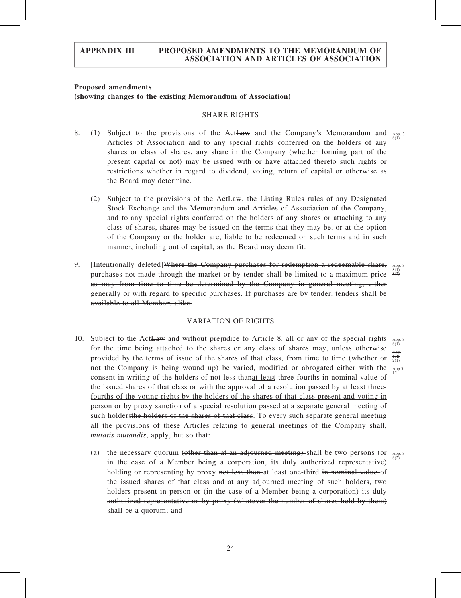#### Proposed amendments (showing changes to the existing Memorandum of Association)

#### SHARE RIGHTS

- 8. (1) Subject to the provisions of the ActLaw and the Company's Memorandum and Articles of Association and to any special rights conferred on the holders of any shares or class of shares, any share in the Company (whether forming part of the present capital or not) may be issued with or have attached thereto such rights or restrictions whether in regard to dividend, voting, return of capital or otherwise as the Board may determine. App. 3 6(1)
	- (2) Subject to the provisions of the ActLaw, the Listing Rules rules of any Designated Stock Exchange and the Memorandum and Articles of Association of the Company, and to any special rights conferred on the holders of any shares or attaching to any class of shares, shares may be issued on the terms that they may be, or at the option of the Company or the holder are, liable to be redeemed on such terms and in such manner, including out of capital, as the Board may deem fit.
- 9. [Intentionally deleted]Where the Company purchases for redemption a redeemable share, purchases not made through the market or by tender shall be limited to a maximum price as may from time to time be determined by the Company in general meeting, either generally or with regard to specific purchases. If purchases are by tender, tenders shall be available to all Members alike. App. 3 8(1) 8(2)

#### VARIATION OF RIGHTS

- 10. Subject to the ActLaw and without prejudice to Article 8, all or any of the special rights for the time being attached to the shares or any class of shares may, unless otherwise provided by the terms of issue of the shares of that class, from time to time (whether or not the Company is being wound up) be varied, modified or abrogated either with the consent in writing of the holders of not less thanged least three-fourths in nominal value of the issued shares of that class or with the approval of a resolution passed by at least threefourths of the voting rights by the holders of the shares of that class present and voting in person or by proxy sanction of a special resolution passed at a separate general meeting of such holdersthe holders of the shares of that class. To every such separate general meeting all the provisions of these Articles relating to general meetings of the Company shall, mutatis mutandis, apply, but so that: App. 3 6(1) App. 13B 2(1) App.3 15
	- (a) the necessary quorum (other than at an adjourned meeting) shall be two persons (or in the case of a Member being a corporation, its duly authorized representative) holding or representing by proxy not less than at least one-third in nominal value of the issued shares of that class–and at any adjourned meeting of such holders, two holders present in person or (in the case of a Member being a corporation) its duly authorized representative or by proxy (whatever the number of shares held by them) shall be a quorum; and App. 3  $6(2)$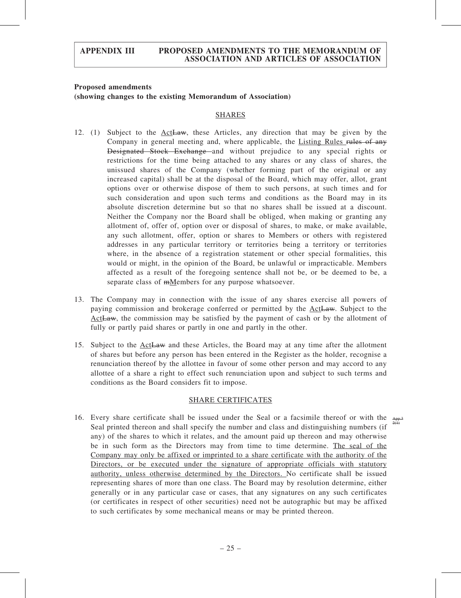### Proposed amendments (showing changes to the existing Memorandum of Association)

#### SHARES

- 12. (1) Subject to the ActLaw, these Articles, any direction that may be given by the Company in general meeting and, where applicable, the Listing Rules rules of any Designated Stock Exchange and without prejudice to any special rights or restrictions for the time being attached to any shares or any class of shares, the unissued shares of the Company (whether forming part of the original or any increased capital) shall be at the disposal of the Board, which may offer, allot, grant options over or otherwise dispose of them to such persons, at such times and for such consideration and upon such terms and conditions as the Board may in its absolute discretion determine but so that no shares shall be issued at a discount. Neither the Company nor the Board shall be obliged, when making or granting any allotment of, offer of, option over or disposal of shares, to make, or make available, any such allotment, offer, option or shares to Members or others with registered addresses in any particular territory or territories being a territory or territories where, in the absence of a registration statement or other special formalities, this would or might, in the opinion of the Board, be unlawful or impracticable. Members affected as a result of the foregoing sentence shall not be, or be deemed to be, a separate class of mMembers for any purpose whatsoever.
- 13. The Company may in connection with the issue of any shares exercise all powers of paying commission and brokerage conferred or permitted by the ActLaw. Subject to the Act<del>Law</del>, the commission may be satisfied by the payment of cash or by the allotment of fully or partly paid shares or partly in one and partly in the other.
- 15. Subject to the ActLaw and these Articles, the Board may at any time after the allotment of shares but before any person has been entered in the Register as the holder, recognise a renunciation thereof by the allottee in favour of some other person and may accord to any allottee of a share a right to effect such renunciation upon and subject to such terms and conditions as the Board considers fit to impose.

#### SHARE CERTIFICATES

16. Every share certificate shall be issued under the Seal or a facsimile thereof or with the Seal printed thereon and shall specify the number and class and distinguishing numbers (if any) of the shares to which it relates, and the amount paid up thereon and may otherwise be in such form as the Directors may from time to time determine. The seal of the Company may only be affixed or imprinted to a share certificate with the authority of the Directors, or be executed under the signature of appropriate officials with statutory authority, unless otherwise determined by the Directors. No certificate shall be issued representing shares of more than one class. The Board may by resolution determine, either generally or in any particular case or cases, that any signatures on any such certificates (or certificates in respect of other securities) need not be autographic but may be affixed to such certificates by some mechanical means or may be printed thereon. App.3  $2(1)$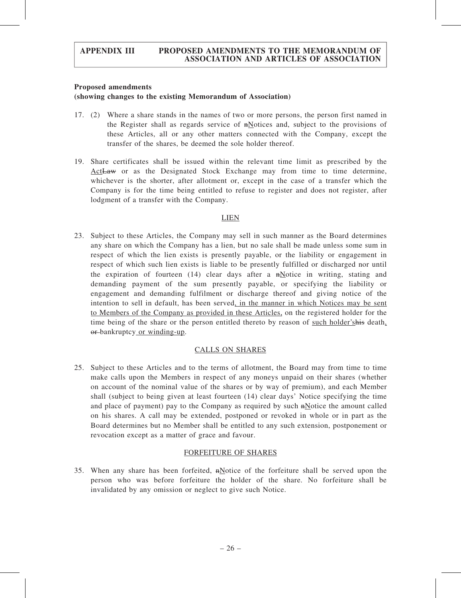#### Proposed amendments

### (showing changes to the existing Memorandum of Association)

- 17. (2) Where a share stands in the names of two or more persons, the person first named in the Register shall as regards service of  $\frac{m}{n}$  otices and, subject to the provisions of these Articles, all or any other matters connected with the Company, except the transfer of the shares, be deemed the sole holder thereof.
- 19. Share certificates shall be issued within the relevant time limit as prescribed by the Act<del>Law</del> or as the Designated Stock Exchange may from time to time determine, whichever is the shorter, after allotment or, except in the case of a transfer which the Company is for the time being entitled to refuse to register and does not register, after lodgment of a transfer with the Company.

### LIEN

23. Subject to these Articles, the Company may sell in such manner as the Board determines any share on which the Company has a lien, but no sale shall be made unless some sum in respect of which the lien exists is presently payable, or the liability or engagement in respect of which such lien exists is liable to be presently fulfilled or discharged nor until the expiration of fourteen  $(14)$  clear days after a  $\frac{1}{n\pi}$  motion in writing, stating and demanding payment of the sum presently payable, or specifying the liability or engagement and demanding fulfilment or discharge thereof and giving notice of the intention to sell in default, has been served, in the manner in which Notices may be sent to Members of the Company as provided in these Articles, on the registered holder for the time being of the share or the person entitled thereto by reason of such holder'shis death, or bankruptcy or winding-up.

# CALLS ON SHARES

25. Subject to these Articles and to the terms of allotment, the Board may from time to time make calls upon the Members in respect of any moneys unpaid on their shares (whether on account of the nominal value of the shares or by way of premium), and each Member shall (subject to being given at least fourteen (14) clear days' Notice specifying the time and place of payment) pay to the Company as required by such  $\frac{m}{n}$  and place in called on his shares. A call may be extended, postponed or revoked in whole or in part as the Board determines but no Member shall be entitled to any such extension, postponement or revocation except as a matter of grace and favour.

# FORFEITURE OF SHARES

35. When any share has been forfeited,  $n\text{Notice}$  of the forfeiture shall be served upon the person who was before forfeiture the holder of the share. No forfeiture shall be invalidated by any omission or neglect to give such Notice.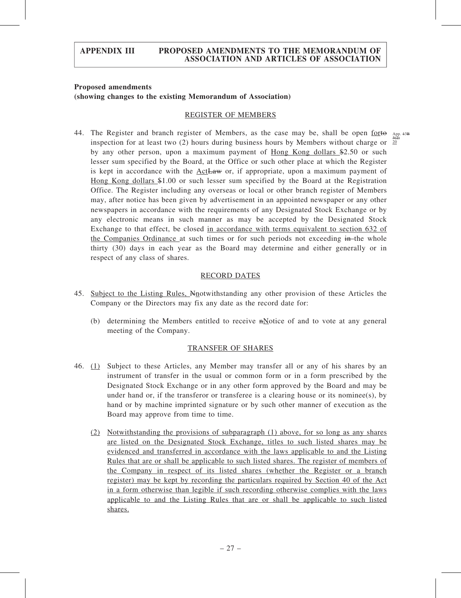## Proposed amendments (showing changes to the existing Memorandum of Association)

#### REGISTER OF MEMBERS

44. The Register and branch register of Members, as the case may be, shall be open for to  $_{APP}$ . inspection for at least two (2) hours during business hours by Members without charge or  $\frac{3(2)}{20}$ by any other person, upon a maximum payment of Hong Kong dollars \$2.50 or such lesser sum specified by the Board, at the Office or such other place at which the Register is kept in accordance with the ActLaw or, if appropriate, upon a maximum payment of Hong Kong dollars \$1.00 or such lesser sum specified by the Board at the Registration Office. The Register including any overseas or local or other branch register of Members may, after notice has been given by advertisement in an appointed newspaper or any other newspapers in accordance with the requirements of any Designated Stock Exchange or by any electronic means in such manner as may be accepted by the Designated Stock Exchange to that effect, be closed in accordance with terms equivalent to section 632 of the Companies Ordinance at such times or for such periods not exceeding in the whole thirty (30) days in each year as the Board may determine and either generally or in respect of any class of shares.

#### RECORD DATES

- 45. Subject to the Listing Rules, Nnotwithstanding any other provision of these Articles the Company or the Directors may fix any date as the record date for:
	- (b) determining the Members entitled to receive  $\frac{1}{n}$  and to vote at any general meeting of the Company.

#### TRANSFER OF SHARES

- 46. (1) Subject to these Articles, any Member may transfer all or any of his shares by an instrument of transfer in the usual or common form or in a form prescribed by the Designated Stock Exchange or in any other form approved by the Board and may be under hand or, if the transferor or transferee is a clearing house or its nominee(s), by hand or by machine imprinted signature or by such other manner of execution as the Board may approve from time to time.
	- (2) Notwithstanding the provisions of subparagraph (1) above, for so long as any shares are listed on the Designated Stock Exchange, titles to such listed shares may be evidenced and transferred in accordance with the laws applicable to and the Listing Rules that are or shall be applicable to such listed shares. The register of members of the Company in respect of its listed shares (whether the Register or a branch register) may be kept by recording the particulars required by Section 40 of the Act in a form otherwise than legible if such recording otherwise complies with the laws applicable to and the Listing Rules that are or shall be applicable to such listed shares.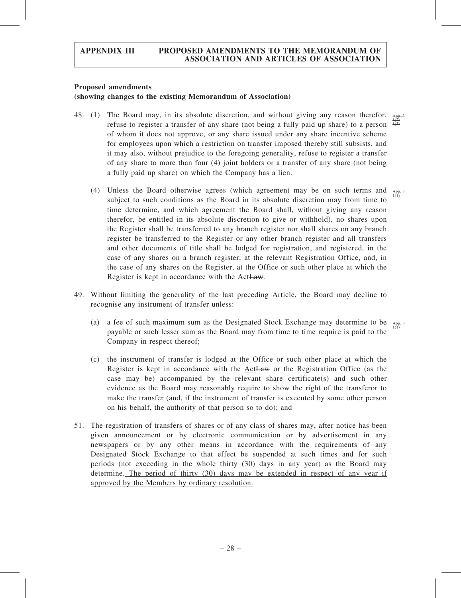#### Proposed amendments

#### (showing changes to the existing Memorandum of Association)

- 48. (1) The Board may, in its absolute discretion, and without giving any reason therefor, refuse to register a transfer of any share (not being a fully paid up share) to a person of whom it does not approve, or any share issued under any share incentive scheme for employees upon which a restriction on transfer imposed thereby still subsists, and it may also, without prejudice to the foregoing generality, refuse to register a transfer of any share to more than four (4) joint holders or a transfer of any share (not being a fully paid up share) on which the Company has a lien. App. 3  $1(2)$  $1(3)$ 
	- (4) Unless the Board otherwise agrees (which agreement may be on such terms and subject to such conditions as the Board in its absolute discretion may from time to time determine, and which agreement the Board shall, without giving any reason therefor, be entitled in its absolute discretion to give or withhold), no shares upon the Register shall be transferred to any branch register nor shall shares on any branch register be transferred to the Register or any other branch register and all transfers and other documents of title shall be lodged for registration, and registered, in the case of any shares on a branch register, at the relevant Registration Office, and, in the case of any shares on the Register, at the Office or such other place at which the Register is kept in accordance with the ActLaw. App. 3  $^{1(1)}$
- 49. Without limiting the generality of the last preceding Article, the Board may decline to recognise any instrument of transfer unless:
	- (a) a fee of such maximum sum as the Designated Stock Exchange may determine to be  $\lim_{\theta \to 0}$ payable or such lesser sum as the Board may from time to time require is paid to the Company in respect thereof;
	- (c) the instrument of transfer is lodged at the Office or such other place at which the Register is kept in accordance with the ActLaw or the Registration Office (as the case may be) accompanied by the relevant share certificate(s) and such other evidence as the Board may reasonably require to show the right of the transferor to make the transfer (and, if the instrument of transfer is executed by some other person on his behalf, the authority of that person so to do); and
- 51. The registration of transfers of shares or of any class of shares may, after notice has been given announcement or by electronic communication or by advertisement in any newspapers or by any other means in accordance with the requirements of any Designated Stock Exchange to that effect be suspended at such times and for such periods (not exceeding in the whole thirty (30) days in any year) as the Board may determine. The period of thirty (30) days may be extended in respect of any year if approved by the Members by ordinary resolution.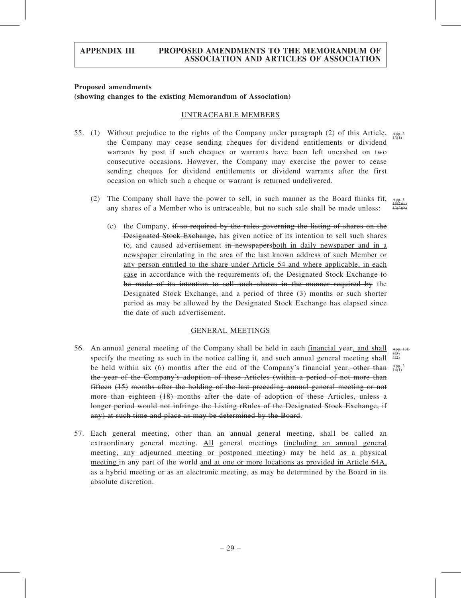#### Proposed amendments

absolute discretion.

#### (showing changes to the existing Memorandum of Association)

#### UNTRACEABLE MEMBERS

- 55. (1) Without prejudice to the rights of the Company under paragraph (2) of this Article,  $\frac{A_{pp-3}}{13(1)}$ the Company may cease sending cheques for dividend entitlements or dividend warrants by post if such cheques or warrants have been left uncashed on two consecutive occasions. However, the Company may exercise the power to cease sending cheques for dividend entitlements or dividend warrants after the first occasion on which such a cheque or warrant is returned undelivered.
	- (2) The Company shall have the power to sell, in such manner as the Board thinks fit, any shares of a Member who is untraceable, but no such sale shall be made unless:
		- (c) the Company, if so required by the rules governing the listing of shares on the Designated Stock Exchange, has given notice of its intention to sell such shares to, and caused advertisement in newspapersboth in daily newspaper and in a newspaper circulating in the area of the last known address of such Member or any person entitled to the share under Article 54 and where applicable, in each case in accordance with the requirements of, the Designated Stock Exchange to be made of its intention to sell such shares in the manner required by the Designated Stock Exchange, and a period of three (3) months or such shorter period as may be allowed by the Designated Stock Exchange has elapsed since the date of such advertisement.

#### GENERAL MEETINGS

56. An annual general meeting of the Company shall be held in each financial year, and shall specify the meeting as such in the notice calling it, and such annual general meeting shall be held within six (6) months after the end of the Company's financial year, other than  $A_{14(1)}^{App. 3}$ the year of the Company's adoption of these Articles (within a period of not more than fifteen (15) months after the holding of the last preceding annual general meeting or not more than eighteen (18) months after the date of adoption of these Articles, unless a longer period would not infringe the Listing rRules of the Designated Stock Exchange, if any) at such time and place as may be determined by the Board. App. 13B  $3(3)$ 4(2)

as a hybrid meeting or as an electronic meeting, as may be determined by the Board in its

- 
- 57. Each general meeting, other than an annual general meeting, shall be called an extraordinary general meeting. All general meetings (including an annual general meeting, any adjourned meeting or postponed meeting) may be held as a physical meeting in any part of the world and at one or more locations as provided in Article 64A,

App. 3  $13(2)(a)$  $13(2)(b)$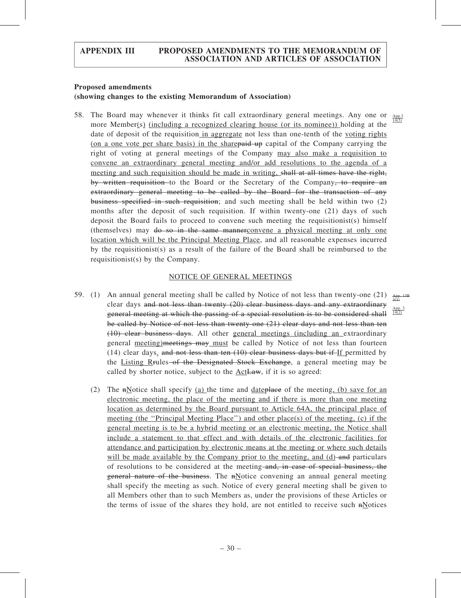#### Proposed amendments

#### (showing changes to the existing Memorandum of Association)

58. The Board may whenever it thinks fit call extraordinary general meetings. Any one or more Member(s) (including a recognized clearing house (or its nominee)) holding at the date of deposit of the requisition in aggregate not less than one-tenth of the voting rights (on a one vote per share basis) in the sharepaid up capital of the Company carrying the right of voting at general meetings of the Company may also make a requisition to convene an extraordinary general meeting and/or add resolutions to the agenda of a meeting and such requisition should be made in writing, shall at all times have the right, by written requisition to the Board or the Secretary of the Company, to require an extraordinary general meeting to be called by the Board for the transaction of any business specified in such requisition; and such meeting shall be held within two (2) months after the deposit of such requisition. If within twenty-one (21) days of such deposit the Board fails to proceed to convene such meeting the requisitionist(s) himself (themselves) may do so in the same mannerconvene a physical meeting at only one location which will be the Principal Meeting Place, and all reasonable expenses incurred by the requisitionist(s) as a result of the failure of the Board shall be reimbursed to the requisitionist(s) by the Company.

#### NOTICE OF GENERAL MEETINGS

- 59. (1) An annual general meeting shall be called by Notice of not less than twenty-one (21)  $\lim_{\Delta t \to 0}$ clear days and not less than twenty (20) clear business days and any extraordinary general meeting at which the passing of a special resolution is to be considered shall be called by Notice of not less than twenty-one (21) clear days and not less than ten (10) clear business days. All other general meetings (including an extraordinary general meeting) meetings may must be called by Notice of not less than fourteen  $(14)$  clear days. and not less than ten  $(10)$  clear business days but if If permitted by the Listing Rrules of the Designated Stock Exchange, a general meeting may be called by shorter notice, subject to the ActLaw, if it is so agreed:
	- (2) The  $\pi$ Notice shall specify (a) the time and dateplace of the meeting, (b) save for an electronic meeting, the place of the meeting and if there is more than one meeting location as determined by the Board pursuant to Article 64A, the principal place of meeting (the "Principal Meeting Place") and other place(s) of the meeting, (c) if the general meeting is to be a hybrid meeting or an electronic meeting, the Notice shall include a statement to that effect and with details of the electronic facilities for attendance and participation by electronic means at the meeting or where such details will be made available by the Company prior to the meeting, and  $(d)$ -and particulars of resolutions to be considered at the meeting and, in case of special business, the general nature of the business. The nNotice convening an annual general meeting shall specify the meeting as such. Notice of every general meeting shall be given to all Members other than to such Members as, under the provisions of these Articles or the terms of issue of the shares they hold, are not entitled to receive such  $n\text{Notes}$

App.3 14(5)

App. 3  $14(2)$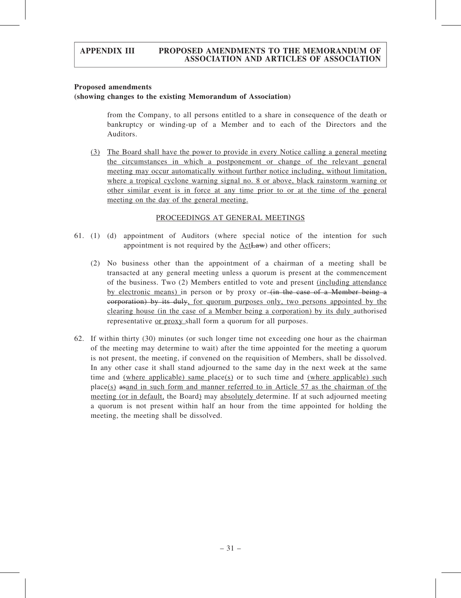#### Proposed amendments

#### (showing changes to the existing Memorandum of Association)

from the Company, to all persons entitled to a share in consequence of the death or bankruptcy or winding-up of a Member and to each of the Directors and the Auditors.

(3) The Board shall have the power to provide in every Notice calling a general meeting the circumstances in which a postponement or change of the relevant general meeting may occur automatically without further notice including, without limitation, where a tropical cyclone warning signal no. 8 or above, black rainstorm warning or other similar event is in force at any time prior to or at the time of the general meeting on the day of the general meeting.

#### PROCEEDINGS AT GENERAL MEETINGS

- 61. (1) (d) appointment of Auditors (where special notice of the intention for such appointment is not required by the ActLaw) and other officers;
	- (2) No business other than the appointment of a chairman of a meeting shall be transacted at any general meeting unless a quorum is present at the commencement of the business. Two (2) Members entitled to vote and present (including attendance by electronic means) in person or by proxy or (in the case of a Member being a corporation) by its duly, for quorum purposes only, two persons appointed by the clearing house (in the case of a Member being a corporation) by its duly authorised representative or proxy shall form a quorum for all purposes.
- 62. If within thirty (30) minutes (or such longer time not exceeding one hour as the chairman of the meeting may determine to wait) after the time appointed for the meeting a quorum is not present, the meeting, if convened on the requisition of Members, shall be dissolved. In any other case it shall stand adjourned to the same day in the next week at the same time and (where applicable) same place(s) or to such time and (where applicable) such place(s) asand in such form and manner referred to in Article 57 as the chairman of the meeting (or in default, the Board) may absolutely determine. If at such adjourned meeting a quorum is not present within half an hour from the time appointed for holding the meeting, the meeting shall be dissolved.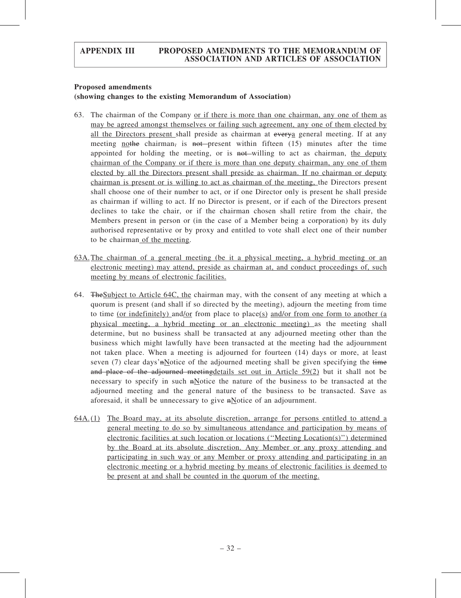#### Proposed amendments

#### (showing changes to the existing Memorandum of Association)

- 63. The chairman of the Company or if there is more than one chairman, any one of them as may be agreed amongst themselves or failing such agreement, any one of them elected by all the Directors present shall preside as chairman at every general meeting. If at any meeting nothe chairman, is not present within fifteen  $(15)$  minutes after the time appointed for holding the meeting, or is  $\theta$ -willing to act as chairman, the deputy chairman of the Company or if there is more than one deputy chairman, any one of them elected by all the Directors present shall preside as chairman. If no chairman or deputy chairman is present or is willing to act as chairman of the meeting, the Directors present shall choose one of their number to act, or if one Director only is present he shall preside as chairman if willing to act. If no Director is present, or if each of the Directors present declines to take the chair, or if the chairman chosen shall retire from the chair, the Members present in person or (in the case of a Member being a corporation) by its duly authorised representative or by proxy and entitled to vote shall elect one of their number to be chairman of the meeting.
- 63A.The chairman of a general meeting (be it a physical meeting, a hybrid meeting or an electronic meeting) may attend, preside as chairman at, and conduct proceedings of, such meeting by means of electronic facilities.
- 64. TheSubject to Article 64C, the chairman may, with the consent of any meeting at which a quorum is present (and shall if so directed by the meeting), adjourn the meeting from time to time (or indefinitely) and/or from place to place(s) and/or from one form to another (a physical meeting, a hybrid meeting or an electronic meeting) as the meeting shall determine, but no business shall be transacted at any adjourned meeting other than the business which might lawfully have been transacted at the meeting had the adjournment not taken place. When a meeting is adjourned for fourteen (14) days or more, at least seven (7) clear days'n<sup>Notice</sup> of the adjourned meeting shall be given specifying the time and place of the adjourned meetingdetails set out in Article 59(2) but it shall not be necessary to specify in such  $\frac{1}{n}$  netword the nature of the business to be transacted at the adjourned meeting and the general nature of the business to be transacted. Save as aforesaid, it shall be unnecessary to give nNotice of an adjournment.
- 64A. (1) The Board may, at its absolute discretion, arrange for persons entitled to attend a general meeting to do so by simultaneous attendance and participation by means of electronic facilities at such location or locations (''Meeting Location(s)'') determined by the Board at its absolute discretion. Any Member or any proxy attending and participating in such way or any Member or proxy attending and participating in an electronic meeting or a hybrid meeting by means of electronic facilities is deemed to be present at and shall be counted in the quorum of the meeting.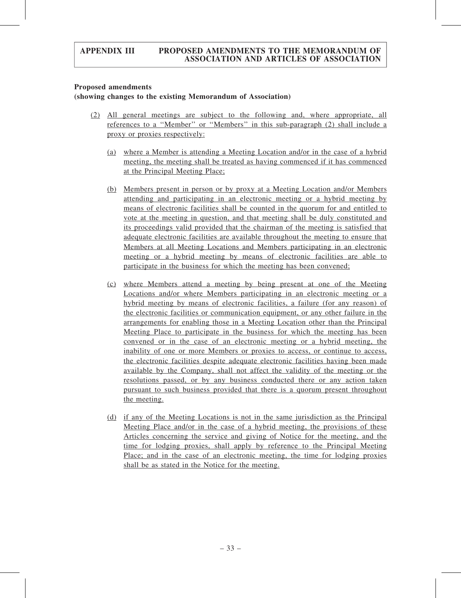#### Proposed amendments

## (showing changes to the existing Memorandum of Association)

- (2) All general meetings are subject to the following and, where appropriate, all references to a ''Member'' or ''Members'' in this sub-paragraph (2) shall include a proxy or proxies respectively:
	- (a) where a Member is attending a Meeting Location and/or in the case of a hybrid meeting, the meeting shall be treated as having commenced if it has commenced at the Principal Meeting Place;
	- (b) Members present in person or by proxy at a Meeting Location and/or Members attending and participating in an electronic meeting or a hybrid meeting by means of electronic facilities shall be counted in the quorum for and entitled to vote at the meeting in question, and that meeting shall be duly constituted and its proceedings valid provided that the chairman of the meeting is satisfied that adequate electronic facilities are available throughout the meeting to ensure that Members at all Meeting Locations and Members participating in an electronic meeting or a hybrid meeting by means of electronic facilities are able to participate in the business for which the meeting has been convened;
	- (c) where Members attend a meeting by being present at one of the Meeting Locations and/or where Members participating in an electronic meeting or a hybrid meeting by means of electronic facilities, a failure (for any reason) of the electronic facilities or communication equipment, or any other failure in the arrangements for enabling those in a Meeting Location other than the Principal Meeting Place to participate in the business for which the meeting has been convened or in the case of an electronic meeting or a hybrid meeting, the inability of one or more Members or proxies to access, or continue to access, the electronic facilities despite adequate electronic facilities having been made available by the Company, shall not affect the validity of the meeting or the resolutions passed, or by any business conducted there or any action taken pursuant to such business provided that there is a quorum present throughout the meeting.
	- (d) if any of the Meeting Locations is not in the same jurisdiction as the Principal Meeting Place and/or in the case of a hybrid meeting, the provisions of these Articles concerning the service and giving of Notice for the meeting, and the time for lodging proxies, shall apply by reference to the Principal Meeting Place; and in the case of an electronic meeting, the time for lodging proxies shall be as stated in the Notice for the meeting.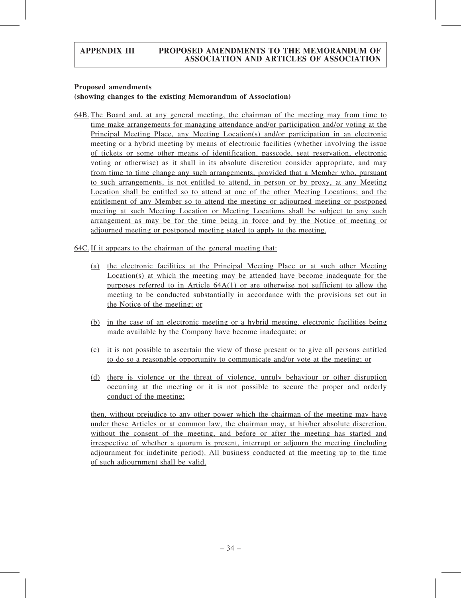#### Proposed amendments

#### (showing changes to the existing Memorandum of Association)

64B. The Board and, at any general meeting, the chairman of the meeting may from time to time make arrangements for managing attendance and/or participation and/or voting at the Principal Meeting Place, any Meeting Location(s) and/or participation in an electronic meeting or a hybrid meeting by means of electronic facilities (whether involving the issue of tickets or some other means of identification, passcode, seat reservation, electronic voting or otherwise) as it shall in its absolute discretion consider appropriate, and may from time to time change any such arrangements, provided that a Member who, pursuant to such arrangements, is not entitled to attend, in person or by proxy, at any Meeting Location shall be entitled so to attend at one of the other Meeting Locations; and the entitlement of any Member so to attend the meeting or adjourned meeting or postponed meeting at such Meeting Location or Meeting Locations shall be subject to any such arrangement as may be for the time being in force and by the Notice of meeting or adjourned meeting or postponed meeting stated to apply to the meeting.

64C. If it appears to the chairman of the general meeting that:

- (a) the electronic facilities at the Principal Meeting Place or at such other Meeting Location(s) at which the meeting may be attended have become inadequate for the purposes referred to in Article 64A(1) or are otherwise not sufficient to allow the meeting to be conducted substantially in accordance with the provisions set out in the Notice of the meeting; or
- (b) in the case of an electronic meeting or a hybrid meeting, electronic facilities being made available by the Company have become inadequate; or
- (c) it is not possible to ascertain the view of those present or to give all persons entitled to do so a reasonable opportunity to communicate and/or vote at the meeting; or
- (d) there is violence or the threat of violence, unruly behaviour or other disruption occurring at the meeting or it is not possible to secure the proper and orderly conduct of the meeting;

then, without prejudice to any other power which the chairman of the meeting may have under these Articles or at common law, the chairman may, at his/her absolute discretion, without the consent of the meeting, and before or after the meeting has started and irrespective of whether a quorum is present, interrupt or adjourn the meeting (including adjournment for indefinite period). All business conducted at the meeting up to the time of such adjournment shall be valid.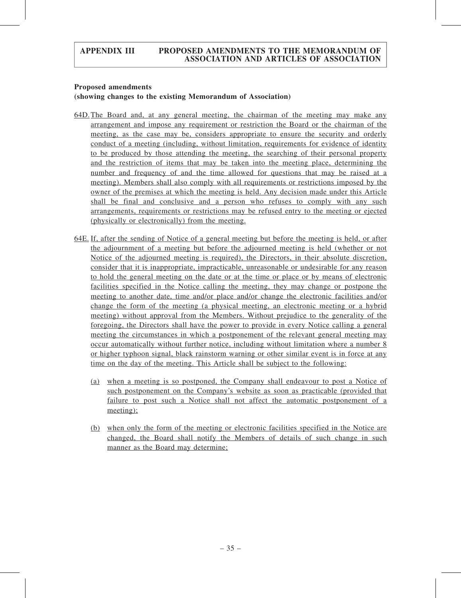#### Proposed amendments

#### (showing changes to the existing Memorandum of Association)

- 64D.The Board and, at any general meeting, the chairman of the meeting may make any arrangement and impose any requirement or restriction the Board or the chairman of the meeting, as the case may be, considers appropriate to ensure the security and orderly conduct of a meeting (including, without limitation, requirements for evidence of identity to be produced by those attending the meeting, the searching of their personal property and the restriction of items that may be taken into the meeting place, determining the number and frequency of and the time allowed for questions that may be raised at a meeting). Members shall also comply with all requirements or restrictions imposed by the owner of the premises at which the meeting is held. Any decision made under this Article shall be final and conclusive and a person who refuses to comply with any such arrangements, requirements or restrictions may be refused entry to the meeting or ejected (physically or electronically) from the meeting.
- 64E. If, after the sending of Notice of a general meeting but before the meeting is held, or after the adjournment of a meeting but before the adjourned meeting is held (whether or not Notice of the adjourned meeting is required), the Directors, in their absolute discretion, consider that it is inappropriate, impracticable, unreasonable or undesirable for any reason to hold the general meeting on the date or at the time or place or by means of electronic facilities specified in the Notice calling the meeting, they may change or postpone the meeting to another date, time and/or place and/or change the electronic facilities and/or change the form of the meeting (a physical meeting, an electronic meeting or a hybrid meeting) without approval from the Members. Without prejudice to the generality of the foregoing, the Directors shall have the power to provide in every Notice calling a general meeting the circumstances in which a postponement of the relevant general meeting may occur automatically without further notice, including without limitation where a number 8 or higher typhoon signal, black rainstorm warning or other similar event is in force at any time on the day of the meeting. This Article shall be subject to the following:
	- (a) when a meeting is so postponed, the Company shall endeavour to post a Notice of such postponement on the Company's website as soon as practicable (provided that failure to post such a Notice shall not affect the automatic postponement of a meeting);
	- (b) when only the form of the meeting or electronic facilities specified in the Notice are changed, the Board shall notify the Members of details of such change in such manner as the Board may determine;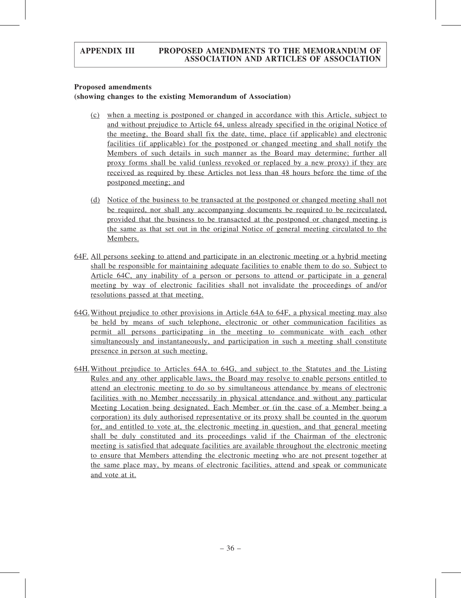#### Proposed amendments

## (showing changes to the existing Memorandum of Association)

- (c) when a meeting is postponed or changed in accordance with this Article, subject to and without prejudice to Article 64, unless already specified in the original Notice of the meeting, the Board shall fix the date, time, place (if applicable) and electronic facilities (if applicable) for the postponed or changed meeting and shall notify the Members of such details in such manner as the Board may determine; further all proxy forms shall be valid (unless revoked or replaced by a new proxy) if they are received as required by these Articles not less than 48 hours before the time of the postponed meeting; and
- (d) Notice of the business to be transacted at the postponed or changed meeting shall not be required, nor shall any accompanying documents be required to be recirculated, provided that the business to be transacted at the postponed or changed meeting is the same as that set out in the original Notice of general meeting circulated to the Members.
- 64F. All persons seeking to attend and participate in an electronic meeting or a hybrid meeting shall be responsible for maintaining adequate facilities to enable them to do so. Subject to Article 64C, any inability of a person or persons to attend or participate in a general meeting by way of electronic facilities shall not invalidate the proceedings of and/or resolutions passed at that meeting.
- 64G.Without prejudice to other provisions in Article 64A to 64F, a physical meeting may also be held by means of such telephone, electronic or other communication facilities as permit all persons participating in the meeting to communicate with each other simultaneously and instantaneously, and participation in such a meeting shall constitute presence in person at such meeting.
- 64H.Without prejudice to Articles 64A to 64G, and subject to the Statutes and the Listing Rules and any other applicable laws, the Board may resolve to enable persons entitled to attend an electronic meeting to do so by simultaneous attendance by means of electronic facilities with no Member necessarily in physical attendance and without any particular Meeting Location being designated. Each Member or (in the case of a Member being a corporation) its duly authorised representative or its proxy shall be counted in the quorum for, and entitled to vote at, the electronic meeting in question, and that general meeting shall be duly constituted and its proceedings valid if the Chairman of the electronic meeting is satisfied that adequate facilities are available throughout the electronic meeting to ensure that Members attending the electronic meeting who are not present together at the same place may, by means of electronic facilities, attend and speak or communicate and vote at it.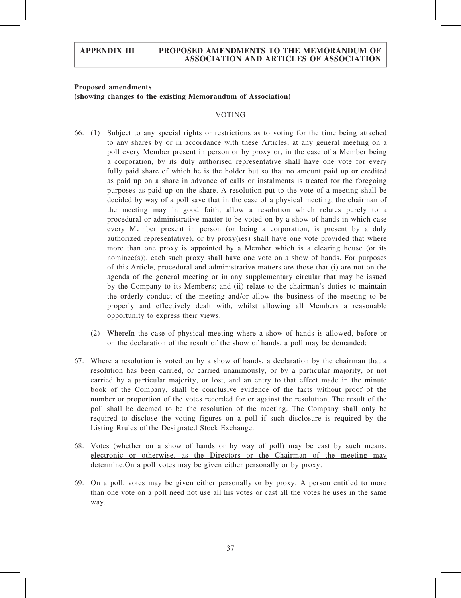#### Proposed amendments (showing changes to the existing Memorandum of Association)

#### VOTING

- 66. (1) Subject to any special rights or restrictions as to voting for the time being attached to any shares by or in accordance with these Articles, at any general meeting on a poll every Member present in person or by proxy or, in the case of a Member being a corporation, by its duly authorised representative shall have one vote for every fully paid share of which he is the holder but so that no amount paid up or credited as paid up on a share in advance of calls or instalments is treated for the foregoing purposes as paid up on the share. A resolution put to the vote of a meeting shall be decided by way of a poll save that in the case of a physical meeting, the chairman of the meeting may in good faith, allow a resolution which relates purely to a procedural or administrative matter to be voted on by a show of hands in which case every Member present in person (or being a corporation, is present by a duly authorized representative), or by proxy(ies) shall have one vote provided that where more than one proxy is appointed by a Member which is a clearing house (or its nominee(s)), each such proxy shall have one vote on a show of hands. For purposes of this Article, procedural and administrative matters are those that (i) are not on the agenda of the general meeting or in any supplementary circular that may be issued by the Company to its Members; and (ii) relate to the chairman's duties to maintain the orderly conduct of the meeting and/or allow the business of the meeting to be properly and effectively dealt with, whilst allowing all Members a reasonable opportunity to express their views.
	- (2) WhereIn the case of physical meeting where a show of hands is allowed, before or on the declaration of the result of the show of hands, a poll may be demanded:
- 67. Where a resolution is voted on by a show of hands, a declaration by the chairman that a resolution has been carried, or carried unanimously, or by a particular majority, or not carried by a particular majority, or lost, and an entry to that effect made in the minute book of the Company, shall be conclusive evidence of the facts without proof of the number or proportion of the votes recorded for or against the resolution. The result of the poll shall be deemed to be the resolution of the meeting. The Company shall only be required to disclose the voting figures on a poll if such disclosure is required by the Listing Rrules of the Designated Stock Exchange.
- 68. Votes (whether on a show of hands or by way of poll) may be cast by such means, electronic or otherwise, as the Directors or the Chairman of the meeting may determine. On a poll votes may be given either personally or by proxy.
- 69. On a poll, votes may be given either personally or by proxy. A person entitled to more than one vote on a poll need not use all his votes or cast all the votes he uses in the same way.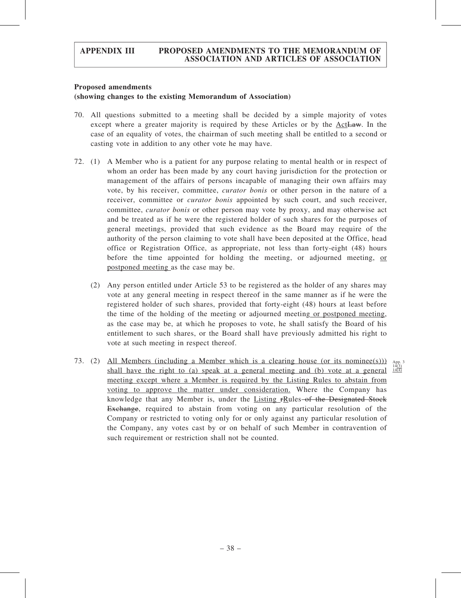#### Proposed amendments

## (showing changes to the existing Memorandum of Association)

- 70. All questions submitted to a meeting shall be decided by a simple majority of votes except where a greater majority is required by these Articles or by the ActLaw. In the case of an equality of votes, the chairman of such meeting shall be entitled to a second or casting vote in addition to any other vote he may have.
- 72. (1) A Member who is a patient for any purpose relating to mental health or in respect of whom an order has been made by any court having jurisdiction for the protection or management of the affairs of persons incapable of managing their own affairs may vote, by his receiver, committee, curator bonis or other person in the nature of a receiver, committee or *curator bonis* appointed by such court, and such receiver, committee, *curator bonis* or other person may vote by proxy, and may otherwise act and be treated as if he were the registered holder of such shares for the purposes of general meetings, provided that such evidence as the Board may require of the authority of the person claiming to vote shall have been deposited at the Office, head office or Registration Office, as appropriate, not less than forty-eight (48) hours before the time appointed for holding the meeting, or adjourned meeting, or postponed meeting as the case may be.
	- (2) Any person entitled under Article 53 to be registered as the holder of any shares may vote at any general meeting in respect thereof in the same manner as if he were the registered holder of such shares, provided that forty-eight (48) hours at least before the time of the holding of the meeting or adjourned meeting or postponed meeting, as the case may be, at which he proposes to vote, he shall satisfy the Board of his entitlement to such shares, or the Board shall have previously admitted his right to vote at such meeting in respect thereof.
- 73. (2) All Members (including a Member which is a clearing house (or its nominee(s))) App. 3 shall have the right to (a) speak at a general meeting and (b) vote at a general  $\frac{14(3)}{14(4)}$ meeting except where a Member is required by the Listing Rules to abstain from voting to approve the matter under consideration. Where the Company has knowledge that any Member is, under the Listing rRules-of the Designated Stock Exchange, required to abstain from voting on any particular resolution of the Company or restricted to voting only for or only against any particular resolution of the Company, any votes cast by or on behalf of such Member in contravention of such requirement or restriction shall not be counted.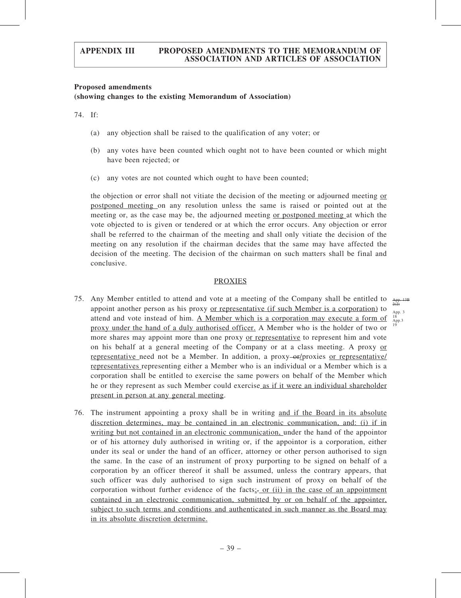#### Proposed amendments (showing changes to the existing Memorandum of Association)

74. If:

- (a) any objection shall be raised to the qualification of any voter; or
- (b) any votes have been counted which ought not to have been counted or which might have been rejected; or
- (c) any votes are not counted which ought to have been counted;

the objection or error shall not vitiate the decision of the meeting or adjourned meeting or postponed meeting on any resolution unless the same is raised or pointed out at the meeting or, as the case may be, the adjourned meeting or postponed meeting at which the vote objected to is given or tendered or at which the error occurs. Any objection or error shall be referred to the chairman of the meeting and shall only vitiate the decision of the meeting on any resolution if the chairman decides that the same may have affected the decision of the meeting. The decision of the chairman on such matters shall be final and conclusive.

### **PROXIES**

App. 13B  $2(2)$ App. 3 18 App.3 19

- 75. Any Member entitled to attend and vote at a meeting of the Company shall be entitled to appoint another person as his proxy or representative (if such Member is a corporation) to attend and vote instead of him. A Member which is a corporation may execute a form of proxy under the hand of a duly authorised officer. A Member who is the holder of two or more shares may appoint more than one proxy or representative to represent him and vote on his behalf at a general meeting of the Company or at a class meeting. A proxy or representative need not be a Member. In addition, a proxy- $\Theta$ -proxies or representative representatives representing either a Member who is an individual or a Member which is a corporation shall be entitled to exercise the same powers on behalf of the Member which he or they represent as such Member could exercise as if it were an individual shareholder present in person at any general meeting.
- 76. The instrument appointing a proxy shall be in writing and if the Board in its absolute discretion determines, may be contained in an electronic communication, and: (i) if in writing but not contained in an electronic communication, under the hand of the appointor or of his attorney duly authorised in writing or, if the appointor is a corporation, either under its seal or under the hand of an officer, attorney or other person authorised to sign the same. In the case of an instrument of proxy purporting to be signed on behalf of a corporation by an officer thereof it shall be assumed, unless the contrary appears, that such officer was duly authorised to sign such instrument of proxy on behalf of the corporation without further evidence of the facts<sub> $\dot{x}$ </sub> or (ii) in the case of an appointment contained in an electronic communication, submitted by or on behalf of the appointer, subject to such terms and conditions and authenticated in such manner as the Board may in its absolute discretion determine.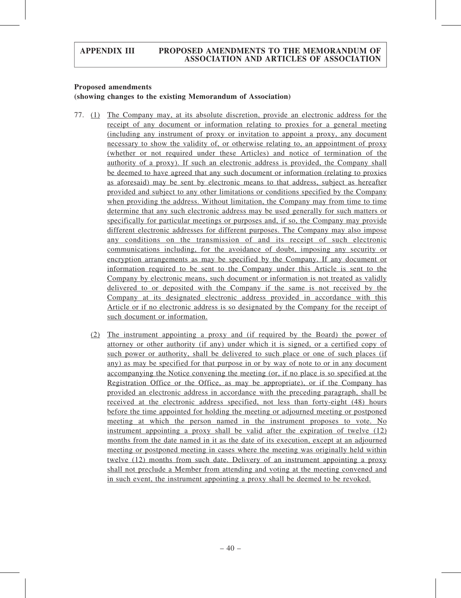## Proposed amendments

## (showing changes to the existing Memorandum of Association)

- 77. (1) The Company may, at its absolute discretion, provide an electronic address for the receipt of any document or information relating to proxies for a general meeting (including any instrument of proxy or invitation to appoint a proxy, any document necessary to show the validity of, or otherwise relating to, an appointment of proxy (whether or not required under these Articles) and notice of termination of the authority of a proxy). If such an electronic address is provided, the Company shall be deemed to have agreed that any such document or information (relating to proxies as aforesaid) may be sent by electronic means to that address, subject as hereafter provided and subject to any other limitations or conditions specified by the Company when providing the address. Without limitation, the Company may from time to time determine that any such electronic address may be used generally for such matters or specifically for particular meetings or purposes and, if so, the Company may provide different electronic addresses for different purposes. The Company may also impose any conditions on the transmission of and its receipt of such electronic communications including, for the avoidance of doubt, imposing any security or encryption arrangements as may be specified by the Company. If any document or information required to be sent to the Company under this Article is sent to the Company by electronic means, such document or information is not treated as validly delivered to or deposited with the Company if the same is not received by the Company at its designated electronic address provided in accordance with this Article or if no electronic address is so designated by the Company for the receipt of such document or information.
	- (2) The instrument appointing a proxy and (if required by the Board) the power of attorney or other authority (if any) under which it is signed, or a certified copy of such power or authority, shall be delivered to such place or one of such places (if any) as may be specified for that purpose in or by way of note to or in any document accompanying the Notice convening the meeting (or, if no place is so specified at the Registration Office or the Office, as may be appropriate), or if the Company has provided an electronic address in accordance with the preceding paragraph, shall be received at the electronic address specified, not less than forty-eight (48) hours before the time appointed for holding the meeting or adjourned meeting or postponed meeting at which the person named in the instrument proposes to vote. No instrument appointing a proxy shall be valid after the expiration of twelve (12) months from the date named in it as the date of its execution, except at an adjourned meeting or postponed meeting in cases where the meeting was originally held within twelve (12) months from such date. Delivery of an instrument appointing a proxy shall not preclude a Member from attending and voting at the meeting convened and in such event, the instrument appointing a proxy shall be deemed to be revoked.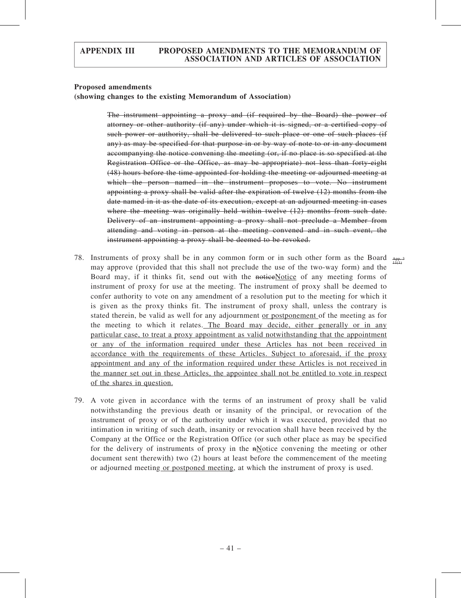#### Proposed amendments

(showing changes to the existing Memorandum of Association)

The instrument appointing a proxy and (if required by the Board) the power of attorney or other authority (if any) under which it is signed, or a certified copy of such power or authority, shall be delivered to such place or one of such places (if any) as may be specified for that purpose in or by way of note to or in any document accompanying the notice convening the meeting (or, if no place is so specified at the Registration Office or the Office, as may be appropriate) not less than forty-eight (48) hours before the time appointed for holding the meeting or adjourned meeting at which the person named in the instrument proposes to vote. No instrument appointing a proxy shall be valid after the expiration of twelve (12) months from the date named in it as the date of its execution, except at an adjourned meeting in cases where the meeting was originally held within twelve (12) months from such date. Delivery of an instrument appointing a proxy shall not preclude a Member from attending and voting in person at the meeting convened and in such event, the instrument appointing a proxy shall be deemed to be revoked.

- 78. Instruments of proxy shall be in any common form or in such other form as the Board  $\frac{A_{pp-3}}{H(t)}$ may approve (provided that this shall not preclude the use of the two-way form) and the Board may, if it thinks fit, send out with the noticeNotice of any meeting forms of instrument of proxy for use at the meeting. The instrument of proxy shall be deemed to confer authority to vote on any amendment of a resolution put to the meeting for which it is given as the proxy thinks fit. The instrument of proxy shall, unless the contrary is stated therein, be valid as well for any adjournment or postponement of the meeting as for the meeting to which it relates. The Board may decide, either generally or in any particular case, to treat a proxy appointment as valid notwithstanding that the appointment or any of the information required under these Articles has not been received in accordance with the requirements of these Articles. Subject to aforesaid, if the proxy appointment and any of the information required under these Articles is not received in the manner set out in these Articles, the appointee shall not be entitled to vote in respect of the shares in question.
- 79. A vote given in accordance with the terms of an instrument of proxy shall be valid notwithstanding the previous death or insanity of the principal, or revocation of the instrument of proxy or of the authority under which it was executed, provided that no intimation in writing of such death, insanity or revocation shall have been received by the Company at the Office or the Registration Office (or such other place as may be specified for the delivery of instruments of proxy in the  $n$ -Notice convening the meeting or other document sent therewith) two (2) hours at least before the commencement of the meeting or adjourned meeting or postponed meeting, at which the instrument of proxy is used.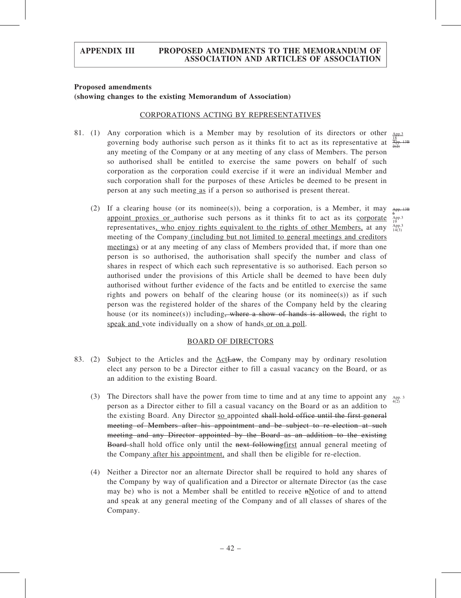#### Proposed amendments

#### (showing changes to the existing Memorandum of Association)

#### CORPORATIONS ACTING BY REPRESENTATIVES

- 81. (1) Any corporation which is a Member may by resolution of its directors or other governing body authorise such person as it thinks fit to act as its representative at any meeting of the Company or at any meeting of any class of Members. The person so authorised shall be entitled to exercise the same powers on behalf of such corporation as the corporation could exercise if it were an individual Member and such corporation shall for the purposes of these Articles be deemed to be present in person at any such meeting as if a person so authorised is present thereat.
	- (2) If a clearing house (or its nominee(s)), being a corporation, is a Member, it may appoint proxies or authorise such persons as it thinks fit to act as its corporate representatives, who enjoy rights equivalent to the rights of other Members, at any  $A_{14(3)}^{App.3}$ meeting of the Company (including but not limited to general meetings and creditors meetings) or at any meeting of any class of Members provided that, if more than one person is so authorised, the authorisation shall specify the number and class of shares in respect of which each such representative is so authorised. Each person so authorised under the provisions of this Article shall be deemed to have been duly authorised without further evidence of the facts and be entitled to exercise the same rights and powers on behalf of the clearing house (or its nominee(s)) as if such person was the registered holder of the shares of the Company held by the clearing house (or its nominee(s)) including, where a show of hands is allowed, the right to speak and vote individually on a show of hands or on a poll.

#### BOARD OF DIRECTORS

- 83. (2) Subject to the Articles and the ActLaw, the Company may by ordinary resolution elect any person to be a Director either to fill a casual vacancy on the Board, or as an addition to the existing Board.
	- (3) The Directors shall have the power from time to time and at any time to appoint any  $_{4(2)}^{App.3}$ person as a Director either to fill a casual vacancy on the Board or as an addition to the existing Board. Any Director so appointed shall hold office until the first general meeting of Members after his appointment and be subject to re-election at such meeting and any Director appointed by the Board as an addition to the existing Board-shall hold office only until the next following first annual general meeting of the Company after his appointment, and shall then be eligible for re-election.
	- (4) Neither a Director nor an alternate Director shall be required to hold any shares of the Company by way of qualification and a Director or alternate Director (as the case may be) who is not a Member shall be entitled to receive  $n\text{Notice of and to attend}$ and speak at any general meeting of the Company and of all classes of shares of the Company.

App.3 18 App. 13B  $2(2)$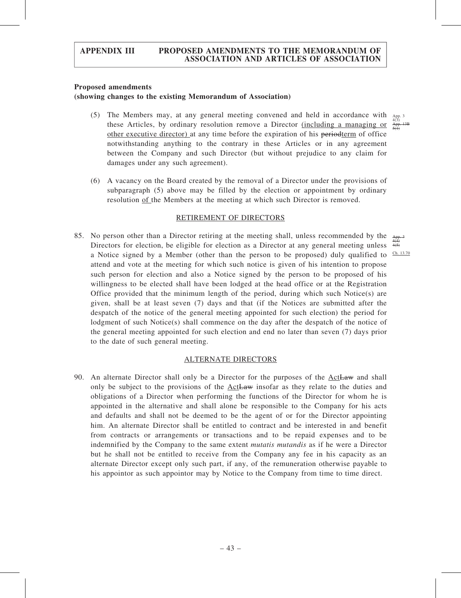#### Proposed amendments

#### (showing changes to the existing Memorandum of Association)

- (5) The Members may, at any general meeting convened and held in accordance with these Articles, by ordinary resolution remove a Director (including a managing or other executive director) at any time before the expiration of his periodterm of office notwithstanding anything to the contrary in these Articles or in any agreement between the Company and such Director (but without prejudice to any claim for damages under any such agreement).
- (6) A vacancy on the Board created by the removal of a Director under the provisions of subparagraph (5) above may be filled by the election or appointment by ordinary resolution of the Members at the meeting at which such Director is removed.

#### RETIREMENT OF DIRECTORS

85. No person other than a Director retiring at the meeting shall, unless recommended by the Directors for election, be eligible for election as a Director at any general meeting unless a Notice signed by a Member (other than the person to be proposed) duly qualified to  $\frac{Ch. 13.70}{2}$ attend and vote at the meeting for which such notice is given of his intention to propose such person for election and also a Notice signed by the person to be proposed of his willingness to be elected shall have been lodged at the head office or at the Registration Office provided that the minimum length of the period, during which such Notice(s) are given, shall be at least seven (7) days and that (if the Notices are submitted after the despatch of the notice of the general meeting appointed for such election) the period for lodgment of such Notice(s) shall commence on the day after the despatch of the notice of the general meeting appointed for such election and end no later than seven (7) days prior to the date of such general meeting. App. 3 4(4) 4(5)

#### ALTERNATE DIRECTORS

90. An alternate Director shall only be a Director for the purposes of the  $Act$  and shall only be subject to the provisions of the ActLaw insofar as they relate to the duties and obligations of a Director when performing the functions of the Director for whom he is appointed in the alternative and shall alone be responsible to the Company for his acts and defaults and shall not be deemed to be the agent of or for the Director appointing him. An alternate Director shall be entitled to contract and be interested in and benefit from contracts or arrangements or transactions and to be repaid expenses and to be indemnified by the Company to the same extent *mutatis mutandis* as if he were a Director but he shall not be entitled to receive from the Company any fee in his capacity as an alternate Director except only such part, if any, of the remuneration otherwise payable to his appointor as such appointor may by Notice to the Company from time to time direct.

App. 3 4(3) App. 13B  $5(1)$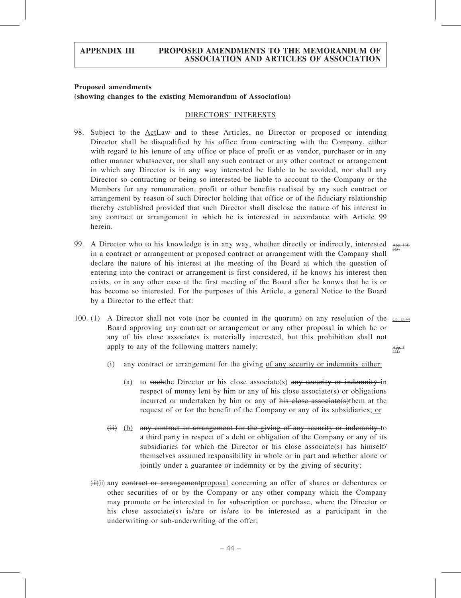#### Proposed amendments (showing changes to the existing Memorandum of Association)

#### DIRECTORS' INTERESTS

- 98. Subject to the ActLaw and to these Articles, no Director or proposed or intending Director shall be disqualified by his office from contracting with the Company, either with regard to his tenure of any office or place of profit or as vendor, purchaser or in any other manner whatsoever, nor shall any such contract or any other contract or arrangement in which any Director is in any way interested be liable to be avoided, nor shall any Director so contracting or being so interested be liable to account to the Company or the Members for any remuneration, profit or other benefits realised by any such contract or arrangement by reason of such Director holding that office or of the fiduciary relationship thereby established provided that such Director shall disclose the nature of his interest in any contract or arrangement in which he is interested in accordance with Article 99 herein.
- 99. A Director who to his knowledge is in any way, whether directly or indirectly, interested  $\lim_{s \to 0}$ in a contract or arrangement or proposed contract or arrangement with the Company shall declare the nature of his interest at the meeting of the Board at which the question of entering into the contract or arrangement is first considered, if he knows his interest then exists, or in any other case at the first meeting of the Board after he knows that he is or has become so interested. For the purposes of this Article, a general Notice to the Board by a Director to the effect that:
- 100. (1) A Director shall not vote (nor be counted in the quorum) on any resolution of the  $\frac{Ch. 13.44}{C}$ Board approving any contract or arrangement or any other proposal in which he or any of his close associates is materially interested, but this prohibition shall not apply to any of the following matters namely: App. 3 4(1)
	- (i) any contract or arrangement for the giving of any security or indemnity either:
		- (a) to such the Director or his close associate(s) any security or indemnity in respect of money lent by him or any of his close associate(s) or obligations incurred or undertaken by him or any of his close associate(s)them at the request of or for the benefit of the Company or any of its subsidiaries; or
	- $(i)$  (b) any contract or arrangement for the giving of any security or indemnity to a third party in respect of a debt or obligation of the Company or any of its subsidiaries for which the Director or his close associate(s) has himself/ themselves assumed responsibility in whole or in part and whether alone or jointly under a guarantee or indemnity or by the giving of security;
	- (iii)(iii) any contract or arrangementproposal concerning an offer of shares or debentures or other securities of or by the Company or any other company which the Company may promote or be interested in for subscription or purchase, where the Director or his close associate(s) is/are or is/are to be interested as a participant in the underwriting or sub-underwriting of the offer;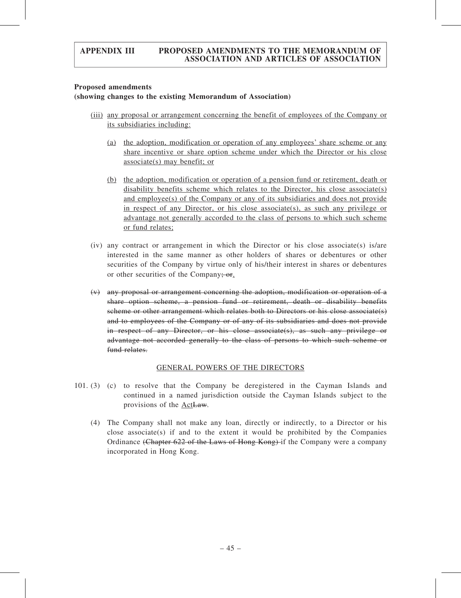#### Proposed amendments

### (showing changes to the existing Memorandum of Association)

- (iii) any proposal or arrangement concerning the benefit of employees of the Company or its subsidiaries including:
	- (a) the adoption, modification or operation of any employees' share scheme or any share incentive or share option scheme under which the Director or his close associate(s) may benefit; or
	- (b) the adoption, modification or operation of a pension fund or retirement, death or disability benefits scheme which relates to the Director, his close associate(s) and employee(s) of the Company or any of its subsidiaries and does not provide in respect of any Director, or his close associate(s), as such any privilege or advantage not generally accorded to the class of persons to which such scheme or fund relates;
- (iv) any contract or arrangement in which the Director or his close associate(s) is/are interested in the same manner as other holders of shares or debentures or other securities of the Company by virtue only of his/their interest in shares or debentures or other securities of the Company; or.
- (v) any proposal or arrangement concerning the adoption, modification or operation of a share option scheme, a pension fund or retirement, death or disability benefits scheme or other arrangement which relates both to Directors or his close associate(s) and to employees of the Company or of any of its subsidiaries and does not provide in respect of any Director, or his close associate(s), as such any privilege or advantage not accorded generally to the class of persons to which such scheme or fund relates.

# GENERAL POWERS OF THE DIRECTORS

- 101. (3) (c) to resolve that the Company be deregistered in the Cayman Islands and continued in a named jurisdiction outside the Cayman Islands subject to the provisions of the ActLaw.
	- (4) The Company shall not make any loan, directly or indirectly, to a Director or his close associate(s) if and to the extent it would be prohibited by the Companies Ordinance (Chapter 622 of the Laws of Hong Kong) if the Company were a company incorporated in Hong Kong.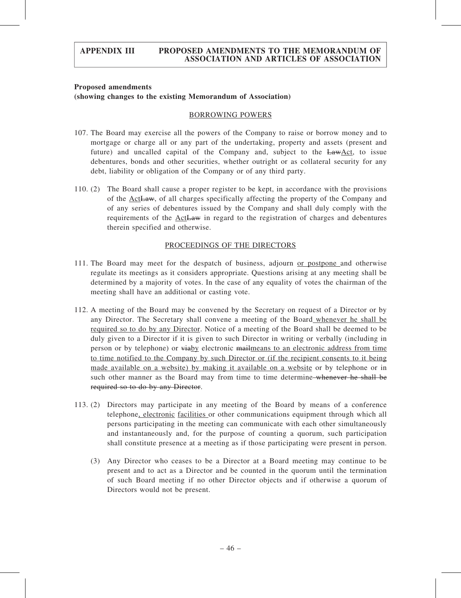#### Proposed amendments (showing changes to the existing Memorandum of Association)

#### BORROWING POWERS

- 107. The Board may exercise all the powers of the Company to raise or borrow money and to mortgage or charge all or any part of the undertaking, property and assets (present and future) and uncalled capital of the Company and, subject to the LawAct, to issue debentures, bonds and other securities, whether outright or as collateral security for any debt, liability or obligation of the Company or of any third party.
- 110. (2) The Board shall cause a proper register to be kept, in accordance with the provisions of the ActLaw, of all charges specifically affecting the property of the Company and of any series of debentures issued by the Company and shall duly comply with the requirements of the ActLaw in regard to the registration of charges and debentures therein specified and otherwise.

#### PROCEEDINGS OF THE DIRECTORS

- 111. The Board may meet for the despatch of business, adjourn or postpone and otherwise regulate its meetings as it considers appropriate. Questions arising at any meeting shall be determined by a majority of votes. In the case of any equality of votes the chairman of the meeting shall have an additional or casting vote.
- 112. A meeting of the Board may be convened by the Secretary on request of a Director or by any Director. The Secretary shall convene a meeting of the Board whenever he shall be required so to do by any Director. Notice of a meeting of the Board shall be deemed to be duly given to a Director if it is given to such Director in writing or verbally (including in person or by telephone) or viaby electronic mailmeans to an electronic address from time to time notified to the Company by such Director or (if the recipient consents to it being made available on a website) by making it available on a website or by telephone or in such other manner as the Board may from time to time determine whenever he shall be required so to do by any Director.
- 113. (2) Directors may participate in any meeting of the Board by means of a conference telephone, electronic facilities or other communications equipment through which all persons participating in the meeting can communicate with each other simultaneously and instantaneously and, for the purpose of counting a quorum, such participation shall constitute presence at a meeting as if those participating were present in person.
	- (3) Any Director who ceases to be a Director at a Board meeting may continue to be present and to act as a Director and be counted in the quorum until the termination of such Board meeting if no other Director objects and if otherwise a quorum of Directors would not be present.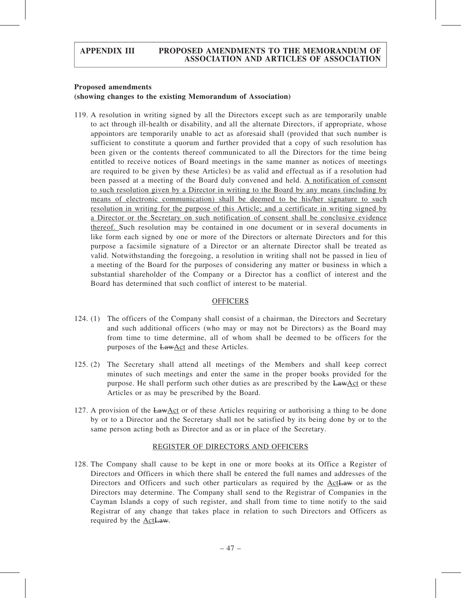#### Proposed amendments

#### (showing changes to the existing Memorandum of Association)

119. A resolution in writing signed by all the Directors except such as are temporarily unable to act through ill-health or disability, and all the alternate Directors, if appropriate, whose appointors are temporarily unable to act as aforesaid shall (provided that such number is sufficient to constitute a quorum and further provided that a copy of such resolution has been given or the contents thereof communicated to all the Directors for the time being entitled to receive notices of Board meetings in the same manner as notices of meetings are required to be given by these Articles) be as valid and effectual as if a resolution had been passed at a meeting of the Board duly convened and held. A notification of consent to such resolution given by a Director in writing to the Board by any means (including by means of electronic communication) shall be deemed to be his/her signature to such resolution in writing for the purpose of this Article; and a certificate in writing signed by a Director or the Secretary on such notification of consent shall be conclusive evidence thereof. Such resolution may be contained in one document or in several documents in like form each signed by one or more of the Directors or alternate Directors and for this purpose a facsimile signature of a Director or an alternate Director shall be treated as valid. Notwithstanding the foregoing, a resolution in writing shall not be passed in lieu of a meeting of the Board for the purposes of considering any matter or business in which a substantial shareholder of the Company or a Director has a conflict of interest and the Board has determined that such conflict of interest to be material.

#### **OFFICERS**

- 124. (1) The officers of the Company shall consist of a chairman, the Directors and Secretary and such additional officers (who may or may not be Directors) as the Board may from time to time determine, all of whom shall be deemed to be officers for the purposes of the LawAct and these Articles.
- 125. (2) The Secretary shall attend all meetings of the Members and shall keep correct minutes of such meetings and enter the same in the proper books provided for the purpose. He shall perform such other duties as are prescribed by the LawAct or these Articles or as may be prescribed by the Board.
- 127. A provision of the LawAct or of these Articles requiring or authorising a thing to be done by or to a Director and the Secretary shall not be satisfied by its being done by or to the same person acting both as Director and as or in place of the Secretary.

#### REGISTER OF DIRECTORS AND OFFICERS

128. The Company shall cause to be kept in one or more books at its Office a Register of Directors and Officers in which there shall be entered the full names and addresses of the Directors and Officers and such other particulars as required by the ActLaw or as the Directors may determine. The Company shall send to the Registrar of Companies in the Cayman Islands a copy of such register, and shall from time to time notify to the said Registrar of any change that takes place in relation to such Directors and Officers as required by the **ActLaw**.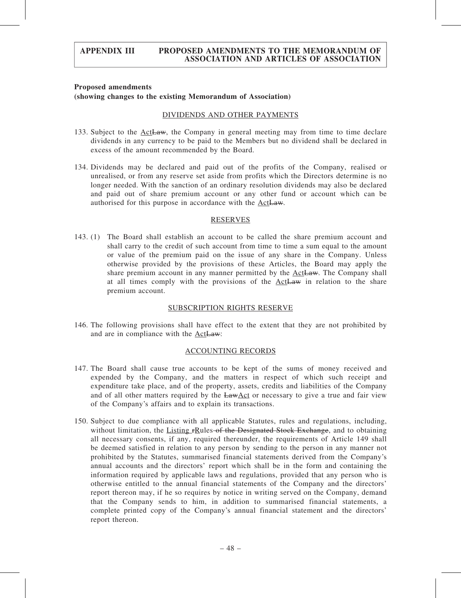#### Proposed amendments (showing changes to the existing Memorandum of Association)

#### DIVIDENDS AND OTHER PAYMENTS

- 133. Subject to the ActLaw, the Company in general meeting may from time to time declare dividends in any currency to be paid to the Members but no dividend shall be declared in excess of the amount recommended by the Board.
- 134. Dividends may be declared and paid out of the profits of the Company, realised or unrealised, or from any reserve set aside from profits which the Directors determine is no longer needed. With the sanction of an ordinary resolution dividends may also be declared and paid out of share premium account or any other fund or account which can be authorised for this purpose in accordance with the ActLaw.

#### **RESERVES**

143. (1) The Board shall establish an account to be called the share premium account and shall carry to the credit of such account from time to time a sum equal to the amount or value of the premium paid on the issue of any share in the Company. Unless otherwise provided by the provisions of these Articles, the Board may apply the share premium account in any manner permitted by the  $ActLaw$ . The Company shall at all times comply with the provisions of the ActLaw in relation to the share premium account.

#### SUBSCRIPTION RIGHTS RESERVE

146. The following provisions shall have effect to the extent that they are not prohibited by and are in compliance with the ActLaw:

#### ACCOUNTING RECORDS

- 147. The Board shall cause true accounts to be kept of the sums of money received and expended by the Company, and the matters in respect of which such receipt and expenditure take place, and of the property, assets, credits and liabilities of the Company and of all other matters required by the LawAct or necessary to give a true and fair view of the Company's affairs and to explain its transactions.
- 150. Subject to due compliance with all applicable Statutes, rules and regulations, including, without limitation, the Listing FRules of the Designated Stock Exchange, and to obtaining all necessary consents, if any, required thereunder, the requirements of Article 149 shall be deemed satisfied in relation to any person by sending to the person in any manner not prohibited by the Statutes, summarised financial statements derived from the Company's annual accounts and the directors' report which shall be in the form and containing the information required by applicable laws and regulations, provided that any person who is otherwise entitled to the annual financial statements of the Company and the directors' report thereon may, if he so requires by notice in writing served on the Company, demand that the Company sends to him, in addition to summarised financial statements, a complete printed copy of the Company's annual financial statement and the directors' report thereon.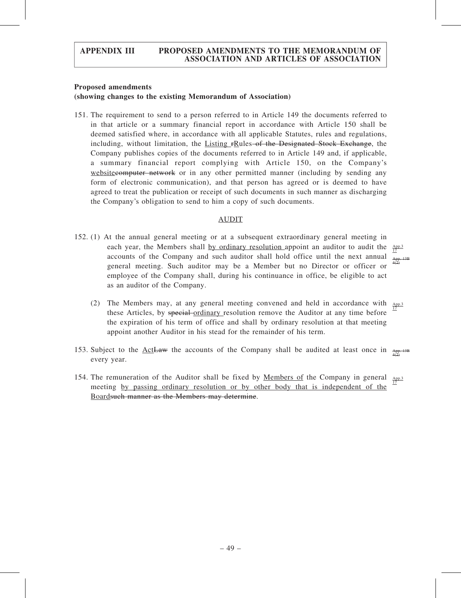#### Proposed amendments

#### (showing changes to the existing Memorandum of Association)

151. The requirement to send to a person referred to in Article 149 the documents referred to in that article or a summary financial report in accordance with Article 150 shall be deemed satisfied where, in accordance with all applicable Statutes, rules and regulations, including, without limitation, the Listing rRules of the Designated Stock Exchange, the Company publishes copies of the documents referred to in Article 149 and, if applicable, a summary financial report complying with Article 150, on the Company's websitecomputer network or in any other permitted manner (including by sending any form of electronic communication), and that person has agreed or is deemed to have agreed to treat the publication or receipt of such documents in such manner as discharging the Company's obligation to send to him a copy of such documents.

#### AUDIT

- 152. (1) At the annual general meeting or at a subsequent extraordinary general meeting in each year, the Members shall by ordinary resolution appoint an auditor to audit the  $\frac{App.3}{12}$ accounts of the Company and such auditor shall hold office until the next annual general meeting. Such auditor may be a Member but no Director or officer or employee of the Company shall, during his continuance in office, be eligible to act as an auditor of the Company.
	- App. 13B 4(2)
	- (2) The Members may, at any general meeting convened and held in accordance with  $_{APD.3}$ these Articles, by special-ordinary resolution remove the Auditor at any time before the expiration of his term of office and shall by ordinary resolution at that meeting appoint another Auditor in his stead for the remainder of his term. 17
- 153. Subject to the  $\Delta ct$ Law the accounts of the Company shall be audited at least once in  $A_{\text{P}}$ every year.
- 154. The remuneration of the Auditor shall be fixed by Members of the Company in general App.3 meeting by passing ordinary resolution or by other body that is independent of the Boardsuch manner as the Members may determine. 17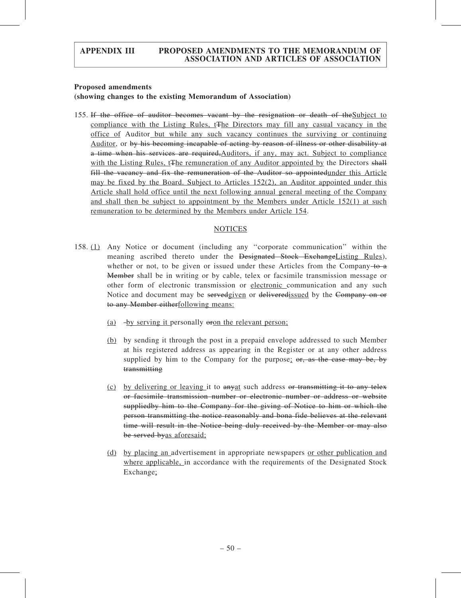#### Proposed amendments

## (showing changes to the existing Memorandum of Association)

155. If the office of auditor becomes vacant by the resignation or death of theSubject to compliance with the Listing Rules, t<sub>The Directors</sub> may fill any casual vacancy in the office of Auditor but while any such vacancy continues the surviving or continuing Auditor, or by his becoming incapable of acting by reason of illness or other disability at a time when his services are required, Auditors, if any, may act. Subject to compliance with the Listing Rules, t<sub>The remuneration of any Auditor appointed by the Directors shall</sub> fill the vacancy and fix the remuneration of the Auditor so appointedunder this Article may be fixed by the Board. Subject to Articles 152(2), an Auditor appointed under this Article shall hold office until the next following annual general meeting of the Company and shall then be subject to appointment by the Members under Article 152(1) at such remuneration to be determined by the Members under Article 154.

#### **NOTICES**

- 158. (1) Any Notice or document (including any ''corporate communication'' within the meaning ascribed thereto under the <del>Designated Stock Exchange</del>Listing Rules), whether or not, to be given or issued under these Articles from the Company  $+6$ Member shall be in writing or by cable, telex or facsimile transmission message or other form of electronic transmission or electronic communication and any such Notice and document may be servedgiven or delivered issued by the Company on or to any Member eitherfollowing means:
	- (a) -by serving it personally  $\theta$  oron the relevant person;
	- (b) by sending it through the post in a prepaid envelope addressed to such Member at his registered address as appearing in the Register or at any other address supplied by him to the Company for the purpose;  $\sigma r$ , as the case may be, by transmitting
	- (c) by delivering or leaving it to anyat such address or transmitting it to any telex or facsimile transmission number or electronic number or address or website suppliedby him to the Company for the giving of Notice to him or which the person transmitting the notice reasonably and bona fide believes at the relevant time will result in the Notice being duly received by the Member or may also be served byas aforesaid;
	- (d) by placing an advertisement in appropriate newspapers or other publication and where applicable, in accordance with the requirements of the Designated Stock Exchange;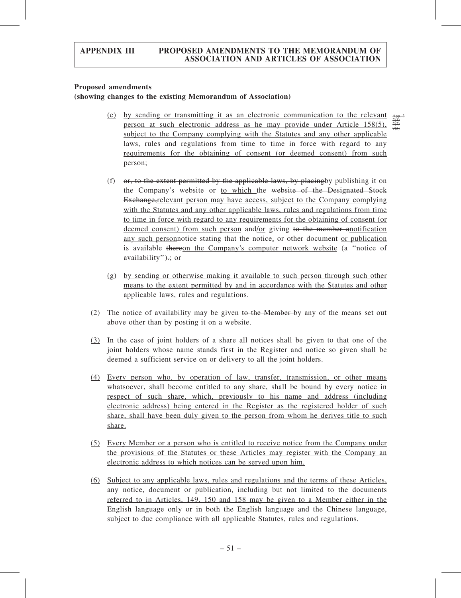#### Proposed amendments

#### (showing changes to the existing Memorandum of Association)

(e) by sending or transmitting it as an electronic communication to the relevant  $A_{\text{R}}$ person at such electronic address as he may provide under Article 158(5), subject to the Company complying with the Statutes and any other applicable laws, rules and regulations from time to time in force with regard to any requirements for the obtaining of consent (or deemed consent) from such person;

7(1) 7(2) 7(3)

- (f)  $\sigma$ , to the extent permitted by the applicable laws, by placing by publishing it on the Company's website or to which the website of the Designated Stock Exchange, relevant person may have access, subject to the Company complying with the Statutes and any other applicable laws, rules and regulations from time to time in force with regard to any requirements for the obtaining of consent (or deemed consent) from such person and/or giving to the member anotification any such personnotice stating that the notice, or other document or publication is available thereon the Company's computer network website (a ''notice of availability").; or
- (g) by sending or otherwise making it available to such person through such other means to the extent permitted by and in accordance with the Statutes and other applicable laws, rules and regulations.
- (2) The notice of availability may be given to the Member by any of the means set out above other than by posting it on a website.
- (3) In the case of joint holders of a share all notices shall be given to that one of the joint holders whose name stands first in the Register and notice so given shall be deemed a sufficient service on or delivery to all the joint holders.
- (4) Every person who, by operation of law, transfer, transmission, or other means whatsoever, shall become entitled to any share, shall be bound by every notice in respect of such share, which, previously to his name and address (including electronic address) being entered in the Register as the registered holder of such share, shall have been duly given to the person from whom he derives title to such share.
- (5) Every Member or a person who is entitled to receive notice from the Company under the provisions of the Statutes or these Articles may register with the Company an electronic address to which notices can be served upon him.
- (6) Subject to any applicable laws, rules and regulations and the terms of these Articles, any notice, document or publication, including but not limited to the documents referred to in Articles, 149, 150 and 158 may be given to a Member either in the English language only or in both the English language and the Chinese language, subject to due compliance with all applicable Statutes, rules and regulations.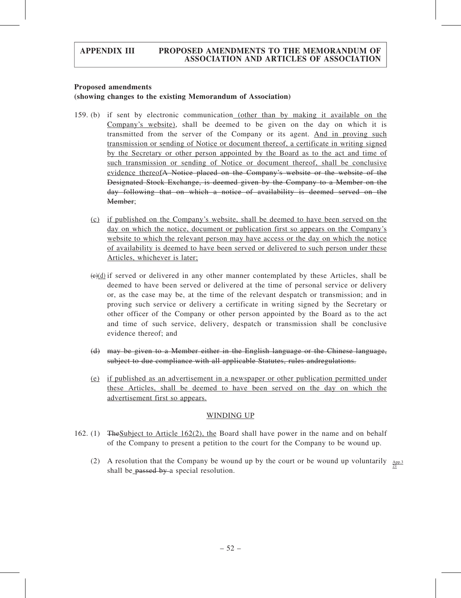#### Proposed amendments

## (showing changes to the existing Memorandum of Association)

- 159. (b) if sent by electronic communication (other than by making it available on the Company's website), shall be deemed to be given on the day on which it is transmitted from the server of the Company or its agent. And in proving such transmission or sending of Notice or document thereof, a certificate in writing signed by the Secretary or other person appointed by the Board as to the act and time of such transmission or sending of Notice or document thereof, shall be conclusive evidence thereofA Notice placed on the Company's website or the website of the Designated Stock Exchange, is deemed given by the Company to a Member on the day following that on which a notice of availability is deemed served on the Member;
	- (c) if published on the Company's website, shall be deemed to have been served on the day on which the notice, document or publication first so appears on the Company's website to which the relevant person may have access or the day on which the notice of availability is deemed to have been served or delivered to such person under these Articles, whichever is later;
	- $(\epsilon)$ (d) if served or delivered in any other manner contemplated by these Articles, shall be deemed to have been served or delivered at the time of personal service or delivery or, as the case may be, at the time of the relevant despatch or transmission; and in proving such service or delivery a certificate in writing signed by the Secretary or other officer of the Company or other person appointed by the Board as to the act and time of such service, delivery, despatch or transmission shall be conclusive evidence thereof; and
	- (d) may be given to a Member either in the English language or the Chinese language, subject to due compliance with all applicable Statutes, rules andregulations.
	- (e) if published as an advertisement in a newspaper or other publication permitted under these Articles, shall be deemed to have been served on the day on which the advertisement first so appears.

#### WINDING UP

- 162. (1) TheSubject to Article 162(2), the Board shall have power in the name and on behalf of the Company to present a petition to the court for the Company to be wound up.
	- (2) A resolution that the Company be wound up by the court or be wound up voluntarily  $\frac{App.3}{21}$ shall be passed by a special resolution.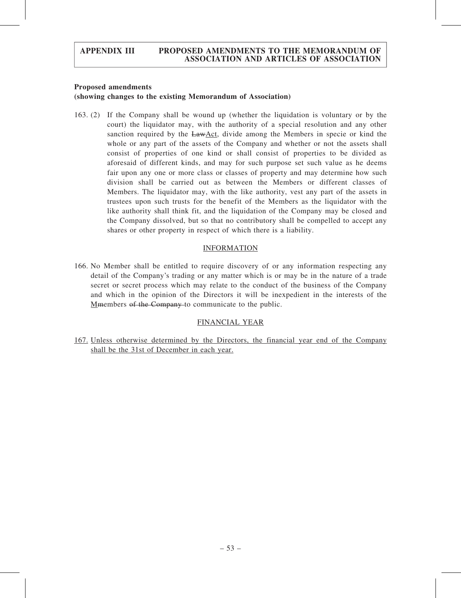#### Proposed amendments

## (showing changes to the existing Memorandum of Association)

163. (2) If the Company shall be wound up (whether the liquidation is voluntary or by the court) the liquidator may, with the authority of a special resolution and any other sanction required by the LawAct, divide among the Members in specie or kind the whole or any part of the assets of the Company and whether or not the assets shall consist of properties of one kind or shall consist of properties to be divided as aforesaid of different kinds, and may for such purpose set such value as he deems fair upon any one or more class or classes of property and may determine how such division shall be carried out as between the Members or different classes of Members. The liquidator may, with the like authority, vest any part of the assets in trustees upon such trusts for the benefit of the Members as the liquidator with the like authority shall think fit, and the liquidation of the Company may be closed and the Company dissolved, but so that no contributory shall be compelled to accept any shares or other property in respect of which there is a liability.

### INFORMATION

166. No Member shall be entitled to require discovery of or any information respecting any detail of the Company's trading or any matter which is or may be in the nature of a trade secret or secret process which may relate to the conduct of the business of the Company and which in the opinion of the Directors it will be inexpedient in the interests of the Mmembers of the Company to communicate to the public.

# FINANCIAL YEAR

167. Unless otherwise determined by the Directors, the financial year end of the Company shall be the 31st of December in each year.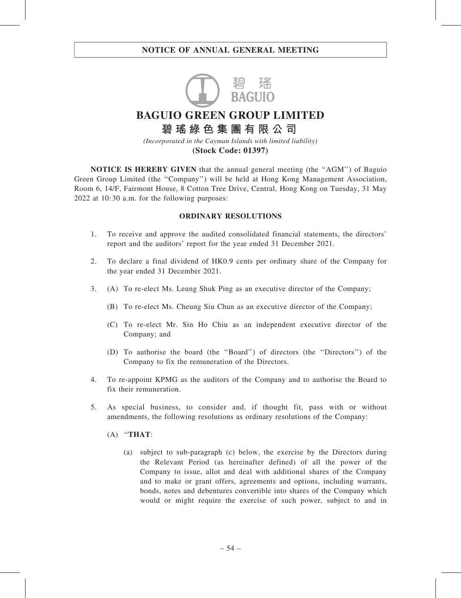

**BAGUIO GREEN GROUP LIMITED**

**碧瑤綠色集團有限公司** *(Incorporated in the Cayman Islands with limited liability)*

**(Stock Code: 01397)**

NOTICE IS HEREBY GIVEN that the annual general meeting (the ''AGM'') of Baguio Green Group Limited (the ''Company'') will be held at Hong Kong Management Association, Room 6, 14/F, Fairmont House, 8 Cotton Tree Drive, Central, Hong Kong on Tuesday, 31 May 2022 at 10:30 a.m. for the following purposes:

#### ORDINARY RESOLUTIONS

- 1. To receive and approve the audited consolidated financial statements, the directors' report and the auditors' report for the year ended 31 December 2021.
- 2. To declare a final dividend of HK0.9 cents per ordinary share of the Company for the year ended 31 December 2021.
- 3. (A) To re-elect Ms. Leung Shuk Ping as an executive director of the Company;
	- (B) To re-elect Ms. Cheung Siu Chun as an executive director of the Company;
	- (C) To re-elect Mr. Sin Ho Chiu as an independent executive director of the Company; and
	- (D) To authorise the board (the ''Board'') of directors (the ''Directors'') of the Company to fix the remuneration of the Directors.
- 4. To re-appoint KPMG as the auditors of the Company and to authorise the Board to fix their remuneration.
- 5. As special business, to consider and, if thought fit, pass with or without amendments, the following resolutions as ordinary resolutions of the Company:
	- $(A)$  "THAT:
		- (a) subject to sub-paragraph (c) below, the exercise by the Directors during the Relevant Period (as hereinafter defined) of all the power of the Company to issue, allot and deal with additional shares of the Company and to make or grant offers, agreements and options, including warrants, bonds, notes and debentures convertible into shares of the Company which would or might require the exercise of such power, subject to and in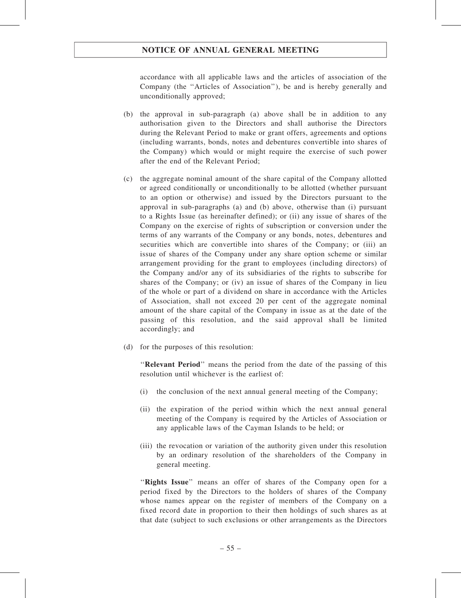accordance with all applicable laws and the articles of association of the Company (the ''Articles of Association''), be and is hereby generally and unconditionally approved;

- (b) the approval in sub-paragraph (a) above shall be in addition to any authorisation given to the Directors and shall authorise the Directors during the Relevant Period to make or grant offers, agreements and options (including warrants, bonds, notes and debentures convertible into shares of the Company) which would or might require the exercise of such power after the end of the Relevant Period;
- (c) the aggregate nominal amount of the share capital of the Company allotted or agreed conditionally or unconditionally to be allotted (whether pursuant to an option or otherwise) and issued by the Directors pursuant to the approval in sub-paragraphs (a) and (b) above, otherwise than (i) pursuant to a Rights Issue (as hereinafter defined); or (ii) any issue of shares of the Company on the exercise of rights of subscription or conversion under the terms of any warrants of the Company or any bonds, notes, debentures and securities which are convertible into shares of the Company; or (iii) an issue of shares of the Company under any share option scheme or similar arrangement providing for the grant to employees (including directors) of the Company and/or any of its subsidiaries of the rights to subscribe for shares of the Company; or (iv) an issue of shares of the Company in lieu of the whole or part of a dividend on share in accordance with the Articles of Association, shall not exceed 20 per cent of the aggregate nominal amount of the share capital of the Company in issue as at the date of the passing of this resolution, and the said approval shall be limited accordingly; and
- (d) for the purposes of this resolution:

''Relevant Period'' means the period from the date of the passing of this resolution until whichever is the earliest of:

- (i) the conclusion of the next annual general meeting of the Company;
- (ii) the expiration of the period within which the next annual general meeting of the Company is required by the Articles of Association or any applicable laws of the Cayman Islands to be held; or
- (iii) the revocation or variation of the authority given under this resolution by an ordinary resolution of the shareholders of the Company in general meeting.

"Rights Issue" means an offer of shares of the Company open for a period fixed by the Directors to the holders of shares of the Company whose names appear on the register of members of the Company on a fixed record date in proportion to their then holdings of such shares as at that date (subject to such exclusions or other arrangements as the Directors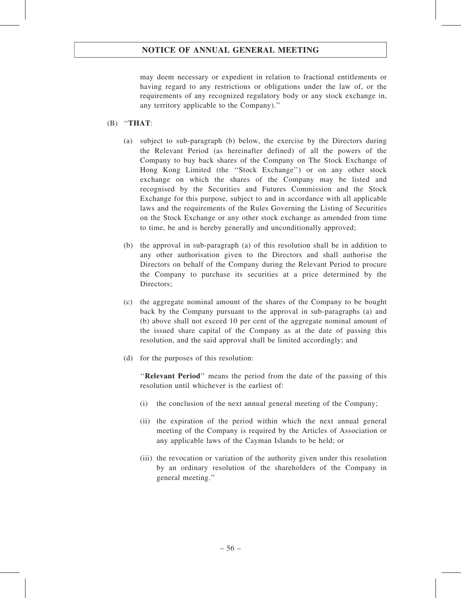may deem necessary or expedient in relation to fractional entitlements or having regard to any restrictions or obligations under the law of, or the requirements of any recognized regulatory body or any stock exchange in, any territory applicable to the Company).''

- $(B)$  "THAT:
	- (a) subject to sub-paragraph (b) below, the exercise by the Directors during the Relevant Period (as hereinafter defined) of all the powers of the Company to buy back shares of the Company on The Stock Exchange of Hong Kong Limited (the ''Stock Exchange'') or on any other stock exchange on which the shares of the Company may be listed and recognised by the Securities and Futures Commission and the Stock Exchange for this purpose, subject to and in accordance with all applicable laws and the requirements of the Rules Governing the Listing of Securities on the Stock Exchange or any other stock exchange as amended from time to time, be and is hereby generally and unconditionally approved;
	- (b) the approval in sub-paragraph (a) of this resolution shall be in addition to any other authorisation given to the Directors and shall authorise the Directors on behalf of the Company during the Relevant Period to procure the Company to purchase its securities at a price determined by the Directors;
	- (c) the aggregate nominal amount of the shares of the Company to be bought back by the Company pursuant to the approval in sub-paragraphs (a) and (b) above shall not exceed 10 per cent of the aggregate nominal amount of the issued share capital of the Company as at the date of passing this resolution, and the said approval shall be limited accordingly; and
	- (d) for the purposes of this resolution:

"Relevant Period" means the period from the date of the passing of this resolution until whichever is the earliest of:

- (i) the conclusion of the next annual general meeting of the Company;
- (ii) the expiration of the period within which the next annual general meeting of the Company is required by the Articles of Association or any applicable laws of the Cayman Islands to be held; or
- (iii) the revocation or variation of the authority given under this resolution by an ordinary resolution of the shareholders of the Company in general meeting.''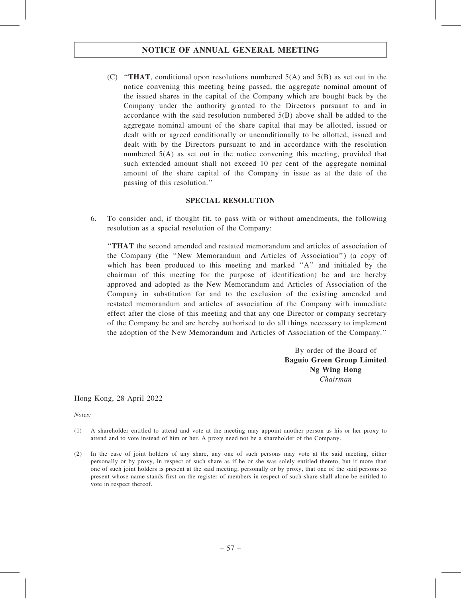(C) "THAT, conditional upon resolutions numbered  $5(A)$  and  $5(B)$  as set out in the notice convening this meeting being passed, the aggregate nominal amount of the issued shares in the capital of the Company which are bought back by the Company under the authority granted to the Directors pursuant to and in accordance with the said resolution numbered 5(B) above shall be added to the aggregate nominal amount of the share capital that may be allotted, issued or dealt with or agreed conditionally or unconditionally to be allotted, issued and dealt with by the Directors pursuant to and in accordance with the resolution numbered 5(A) as set out in the notice convening this meeting, provided that such extended amount shall not exceed 10 per cent of the aggregate nominal amount of the share capital of the Company in issue as at the date of the passing of this resolution.''

#### SPECIAL RESOLUTION

6. To consider and, if thought fit, to pass with or without amendments, the following resolution as a special resolution of the Company:

''THAT the second amended and restated memorandum and articles of association of the Company (the ''New Memorandum and Articles of Association'') (a copy of which has been produced to this meeting and marked ''A'' and initialed by the chairman of this meeting for the purpose of identification) be and are hereby approved and adopted as the New Memorandum and Articles of Association of the Company in substitution for and to the exclusion of the existing amended and restated memorandum and articles of association of the Company with immediate effect after the close of this meeting and that any one Director or company secretary of the Company be and are hereby authorised to do all things necessary to implement the adoption of the New Memorandum and Articles of Association of the Company.''

> By order of the Board of Baguio Green Group Limited Ng Wing Hong Chairman

Hong Kong, 28 April 2022

Notes:

- (1) A shareholder entitled to attend and vote at the meeting may appoint another person as his or her proxy to attend and to vote instead of him or her. A proxy need not be a shareholder of the Company.
- (2) In the case of joint holders of any share, any one of such persons may vote at the said meeting, either personally or by proxy, in respect of such share as if he or she was solely entitled thereto, but if more than one of such joint holders is present at the said meeting, personally or by proxy, that one of the said persons so present whose name stands first on the register of members in respect of such share shall alone be entitled to vote in respect thereof.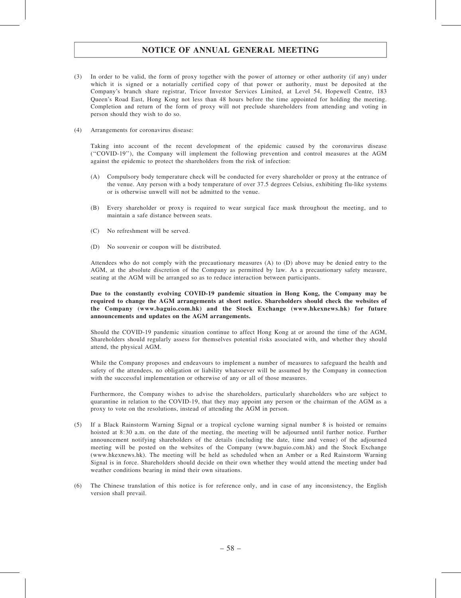- (3) In order to be valid, the form of proxy together with the power of attorney or other authority (if any) under which it is signed or a notarially certified copy of that power or authority, must be deposited at the Company's branch share registrar, Tricor Investor Services Limited, at Level 54, Hopewell Centre, 183 Queen's Road East, Hong Kong not less than 48 hours before the time appointed for holding the meeting. Completion and return of the form of proxy will not preclude shareholders from attending and voting in person should they wish to do so.
- (4) Arrangements for coronavirus disease:

Taking into account of the recent development of the epidemic caused by the coronavirus disease (''COVID-19''), the Company will implement the following prevention and control measures at the AGM against the epidemic to protect the shareholders from the risk of infection:

- (A) Compulsory body temperature check will be conducted for every shareholder or proxy at the entrance of the venue. Any person with a body temperature of over 37.5 degrees Celsius, exhibiting flu-like systems or is otherwise unwell will not be admitted to the venue.
- (B) Every shareholder or proxy is required to wear surgical face mask throughout the meeting, and to maintain a safe distance between seats.
- (C) No refreshment will be served.
- (D) No souvenir or coupon will be distributed.

Attendees who do not comply with the precautionary measures (A) to (D) above may be denied entry to the AGM, at the absolute discretion of the Company as permitted by law. As a precautionary safety measure, seating at the AGM will be arranged so as to reduce interaction between participants.

#### Due to the constantly evolving COVID-19 pandemic situation in Hong Kong, the Company may be required to change the AGM arrangements at short notice. Shareholders should check the websites of the Company (www.baguio.com.hk) and the Stock Exchange (www.hkexnews.hk) for future announcements and updates on the AGM arrangements.

Should the COVID-19 pandemic situation continue to affect Hong Kong at or around the time of the AGM, Shareholders should regularly assess for themselves potential risks associated with, and whether they should attend, the physical AGM.

While the Company proposes and endeavours to implement a number of measures to safeguard the health and safety of the attendees, no obligation or liability whatsoever will be assumed by the Company in connection with the successful implementation or otherwise of any or all of those measures.

Furthermore, the Company wishes to advise the shareholders, particularly shareholders who are subject to quarantine in relation to the COVID-19, that they may appoint any person or the chairman of the AGM as a proxy to vote on the resolutions, instead of attending the AGM in person.

- (5) If a Black Rainstorm Warning Signal or a tropical cyclone warning signal number 8 is hoisted or remains hoisted at 8:30 a.m. on the date of the meeting, the meeting will be adjourned until further notice. Further announcement notifying shareholders of the details (including the date, time and venue) of the adjourned meeting will be posted on the websites of the Company (www.baguio.com.hk) and the Stock Exchange (www.hkexnews.hk). The meeting will be held as scheduled when an Amber or a Red Rainstorm Warning Signal is in force. Shareholders should decide on their own whether they would attend the meeting under bad weather conditions bearing in mind their own situations.
- (6) The Chinese translation of this notice is for reference only, and in case of any inconsistency, the English version shall prevail.